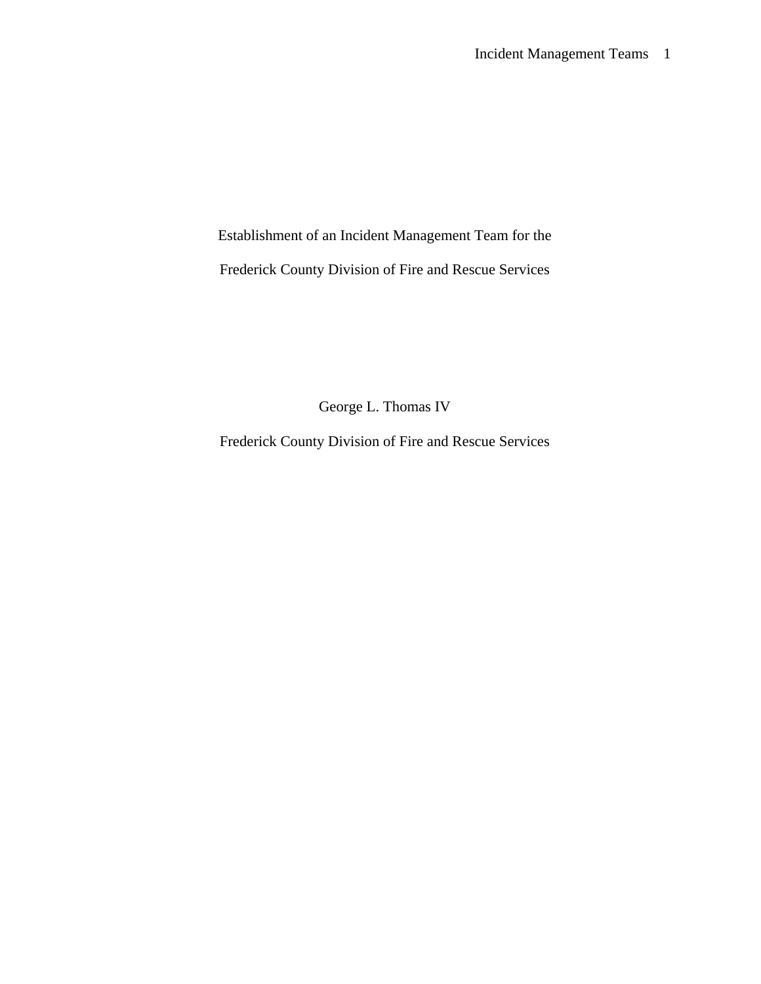Establishment of an Incident Management Team for the

Frederick County Division of Fire and Rescue Services

George L. Thomas IV

Frederick County Division of Fire and Rescue Services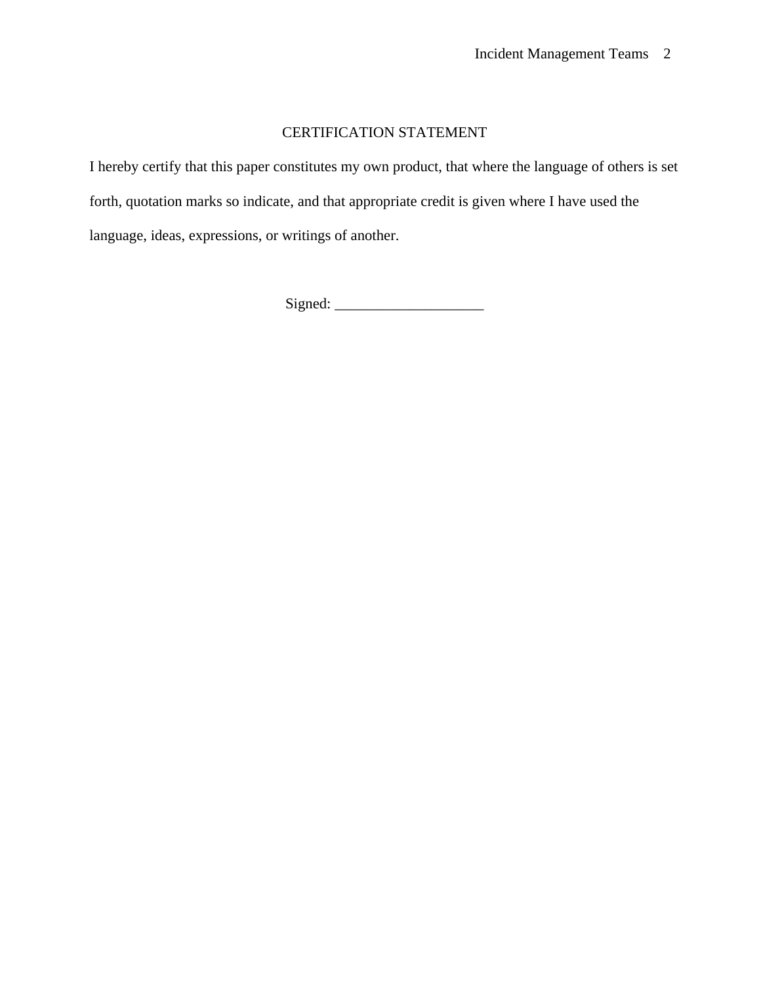### CERTIFICATION STATEMENT

I hereby certify that this paper constitutes my own product, that where the language of others is set forth, quotation marks so indicate, and that appropriate credit is given where I have used the language, ideas, expressions, or writings of another.

Signed: \_\_\_\_\_\_\_\_\_\_\_\_\_\_\_\_\_\_\_\_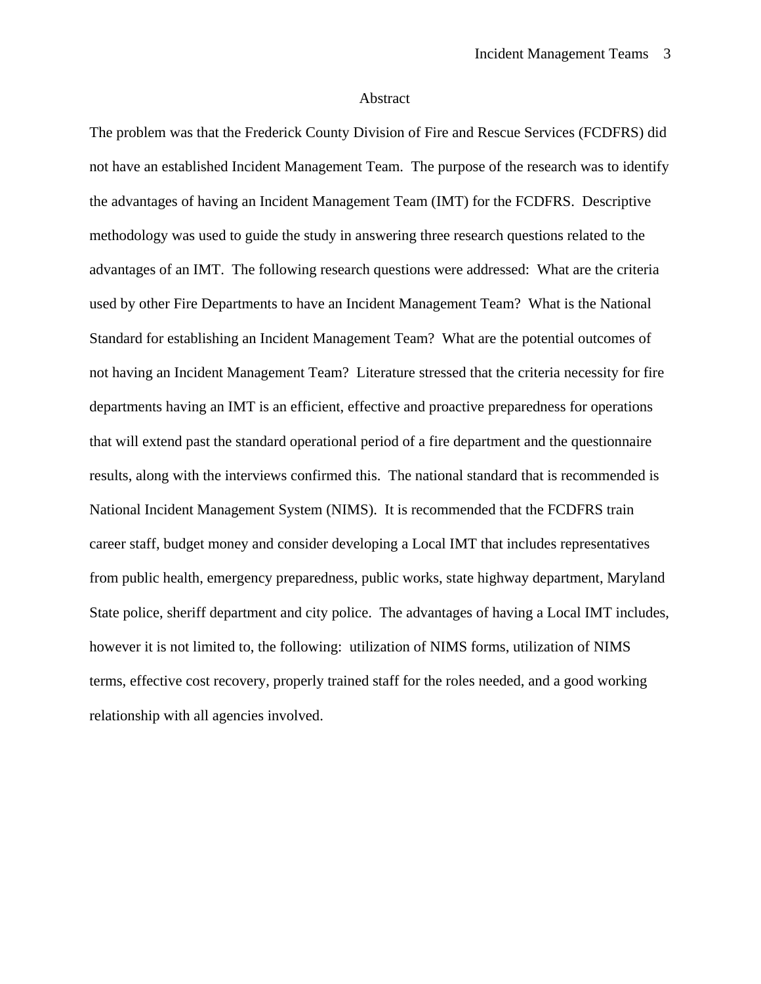#### Abstract

The problem was that the Frederick County Division of Fire and Rescue Services (FCDFRS) did not have an established Incident Management Team. The purpose of the research was to identify the advantages of having an Incident Management Team (IMT) for the FCDFRS. Descriptive methodology was used to guide the study in answering three research questions related to the advantages of an IMT. The following research questions were addressed: What are the criteria used by other Fire Departments to have an Incident Management Team? What is the National Standard for establishing an Incident Management Team? What are the potential outcomes of not having an Incident Management Team? Literature stressed that the criteria necessity for fire departments having an IMT is an efficient, effective and proactive preparedness for operations that will extend past the standard operational period of a fire department and the questionnaire results, along with the interviews confirmed this. The national standard that is recommended is National Incident Management System (NIMS). It is recommended that the FCDFRS train career staff, budget money and consider developing a Local IMT that includes representatives from public health, emergency preparedness, public works, state highway department, Maryland State police, sheriff department and city police. The advantages of having a Local IMT includes, however it is not limited to, the following: utilization of NIMS forms, utilization of NIMS terms, effective cost recovery, properly trained staff for the roles needed, and a good working relationship with all agencies involved.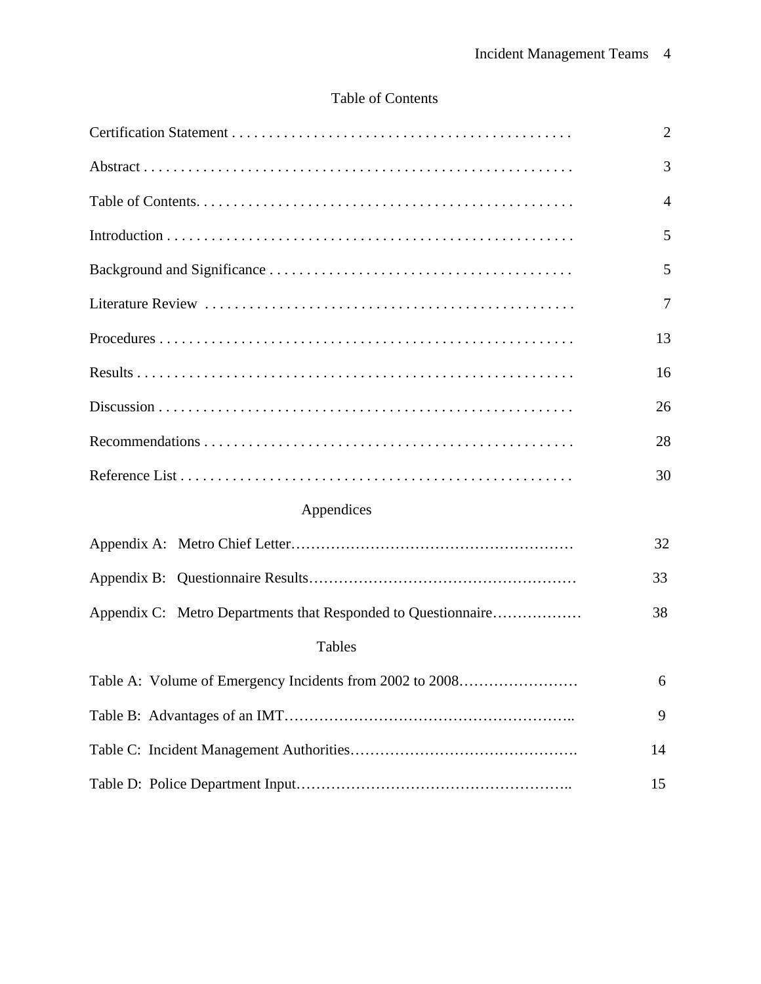# Table of Contents

|                                                               | $\overline{2}$ |
|---------------------------------------------------------------|----------------|
|                                                               | 3              |
|                                                               | 4              |
|                                                               | 5              |
|                                                               | 5              |
|                                                               | $\overline{7}$ |
|                                                               | 13             |
|                                                               | 16             |
|                                                               | 26             |
|                                                               | 28             |
|                                                               | 30             |
| Appendices                                                    |                |
|                                                               | 32             |
|                                                               | 33             |
| Appendix C: Metro Departments that Responded to Questionnaire | 38             |
| <b>Tables</b>                                                 |                |
| Table A: Volume of Emergency Incidents from 2002 to 2008      | 6              |
|                                                               | 9              |
|                                                               | 14             |
|                                                               | 15             |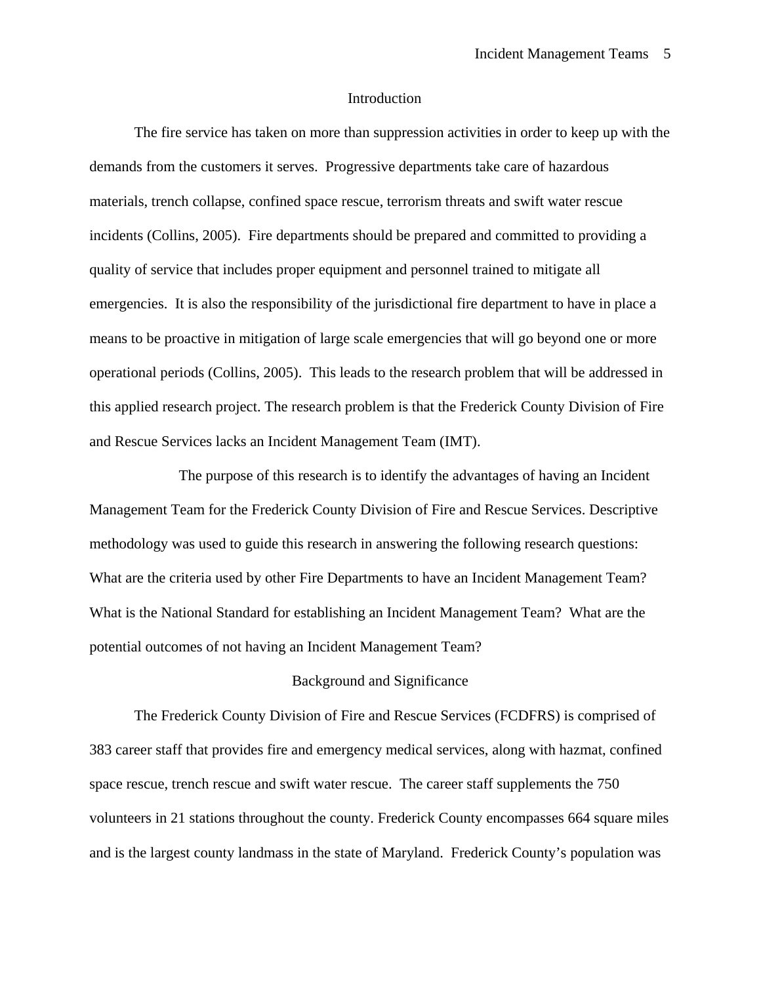#### Introduction

The fire service has taken on more than suppression activities in order to keep up with the demands from the customers it serves. Progressive departments take care of hazardous materials, trench collapse, confined space rescue, terrorism threats and swift water rescue incidents (Collins, 2005). Fire departments should be prepared and committed to providing a quality of service that includes proper equipment and personnel trained to mitigate all emergencies. It is also the responsibility of the jurisdictional fire department to have in place a means to be proactive in mitigation of large scale emergencies that will go beyond one or more operational periods (Collins, 2005). This leads to the research problem that will be addressed in this applied research project. The research problem is that the Frederick County Division of Fire and Rescue Services lacks an Incident Management Team (IMT).

 The purpose of this research is to identify the advantages of having an Incident Management Team for the Frederick County Division of Fire and Rescue Services. Descriptive methodology was used to guide this research in answering the following research questions: What are the criteria used by other Fire Departments to have an Incident Management Team? What is the National Standard for establishing an Incident Management Team? What are the potential outcomes of not having an Incident Management Team?

#### Background and Significance

 The Frederick County Division of Fire and Rescue Services (FCDFRS) is comprised of 383 career staff that provides fire and emergency medical services, along with hazmat, confined space rescue, trench rescue and swift water rescue. The career staff supplements the 750 volunteers in 21 stations throughout the county. Frederick County encompasses 664 square miles and is the largest county landmass in the state of Maryland. Frederick County's population was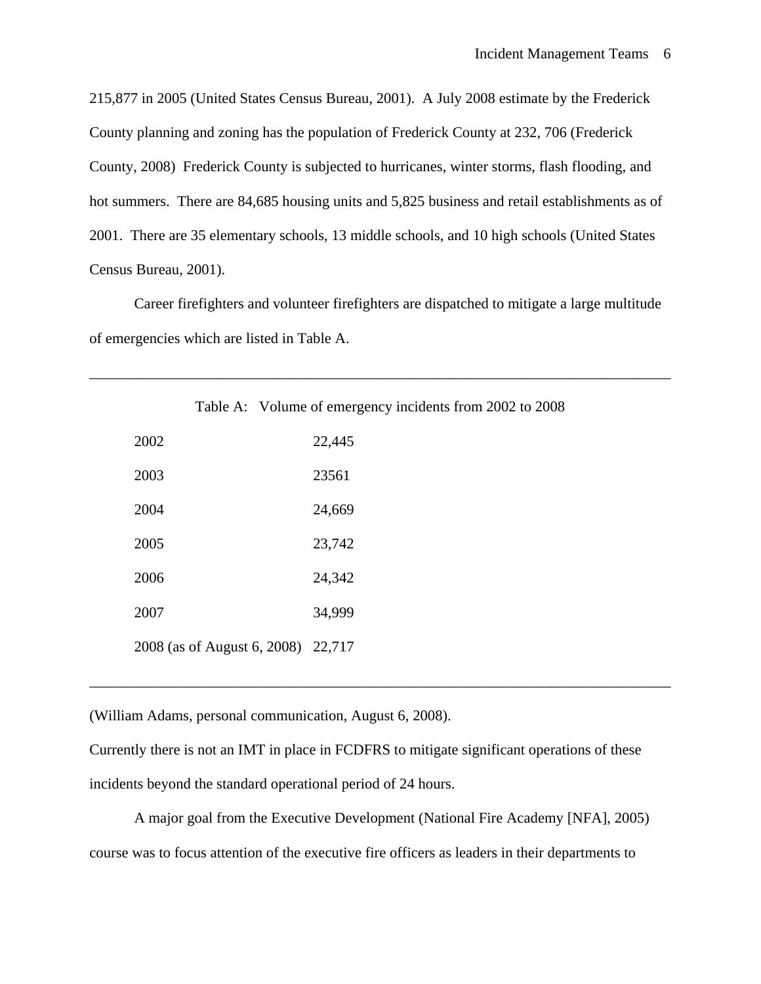215,877 in 2005 (United States Census Bureau, 2001). A July 2008 estimate by the Frederick County planning and zoning has the population of Frederick County at 232, 706 (Frederick County, 2008) Frederick County is subjected to hurricanes, winter storms, flash flooding, and hot summers. There are 84,685 housing units and 5,825 business and retail establishments as of 2001. There are 35 elementary schools, 13 middle schools, and 10 high schools (United States Census Bureau, 2001).

 Career firefighters and volunteer firefighters are dispatched to mitigate a large multitude of emergencies which are listed in Table A.

|      |                                    | Table A: Volume of emergency incidents from 200 |
|------|------------------------------------|-------------------------------------------------|
| 2002 |                                    | 22,445                                          |
| 2003 |                                    | 23561                                           |
| 2004 |                                    | 24,669                                          |
| 2005 |                                    | 23,742                                          |
| 2006 |                                    | 24,342                                          |
| 2007 |                                    | 34,999                                          |
|      | 2008 (as of August 6, 2008) 22,717 |                                                 |

2 to 2008

\_\_\_\_\_\_\_\_\_\_\_\_\_\_\_\_\_\_\_\_\_\_\_\_\_\_\_\_\_\_\_\_\_\_\_\_\_\_\_\_\_\_\_\_\_\_\_\_\_\_\_\_\_\_\_\_\_\_\_\_\_\_\_\_\_\_\_\_\_\_\_\_\_\_\_\_\_\_

(William Adams, personal communication, August 6, 2008).

Currently there is not an IMT in place in FCDFRS to mitigate significant operations of these incidents beyond the standard operational period of 24 hours.

\_\_\_\_\_\_\_\_\_\_\_\_\_\_\_\_\_\_\_\_\_\_\_\_\_\_\_\_\_\_\_\_\_\_\_\_\_\_\_\_\_\_\_\_\_\_\_\_\_\_\_\_\_\_\_\_\_\_\_\_\_\_\_\_\_\_\_\_\_\_\_\_\_\_\_\_\_\_

 A major goal from the Executive Development (National Fire Academy [NFA], 2005) course was to focus attention of the executive fire officers as leaders in their departments to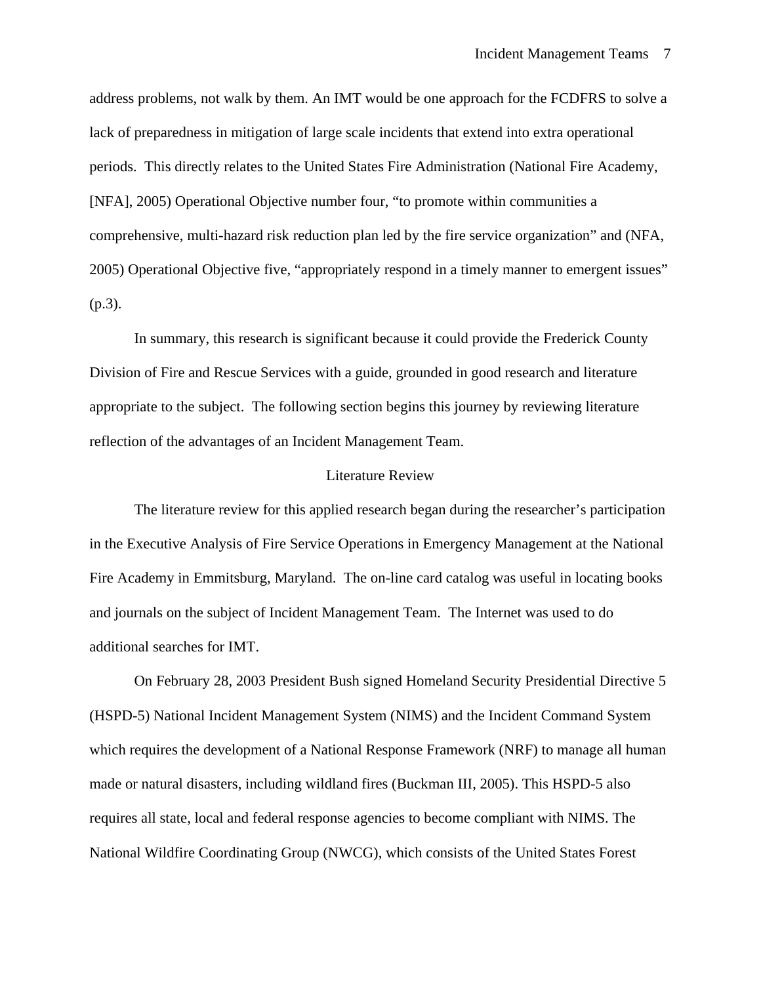address problems, not walk by them. An IMT would be one approach for the FCDFRS to solve a lack of preparedness in mitigation of large scale incidents that extend into extra operational periods. This directly relates to the United States Fire Administration (National Fire Academy, [NFA], 2005) Operational Objective number four, "to promote within communities a comprehensive, multi-hazard risk reduction plan led by the fire service organization" and (NFA, 2005) Operational Objective five, "appropriately respond in a timely manner to emergent issues" (p.3).

 In summary, this research is significant because it could provide the Frederick County Division of Fire and Rescue Services with a guide, grounded in good research and literature appropriate to the subject. The following section begins this journey by reviewing literature reflection of the advantages of an Incident Management Team.

#### Literature Review

 The literature review for this applied research began during the researcher's participation in the Executive Analysis of Fire Service Operations in Emergency Management at the National Fire Academy in Emmitsburg, Maryland. The on-line card catalog was useful in locating books and journals on the subject of Incident Management Team. The Internet was used to do additional searches for IMT.

 On February 28, 2003 President Bush signed Homeland Security Presidential Directive 5 (HSPD-5) National Incident Management System (NIMS) and the Incident Command System which requires the development of a National Response Framework (NRF) to manage all human made or natural disasters, including wildland fires (Buckman III, 2005). This HSPD-5 also requires all state, local and federal response agencies to become compliant with NIMS. The National Wildfire Coordinating Group (NWCG), which consists of the United States Forest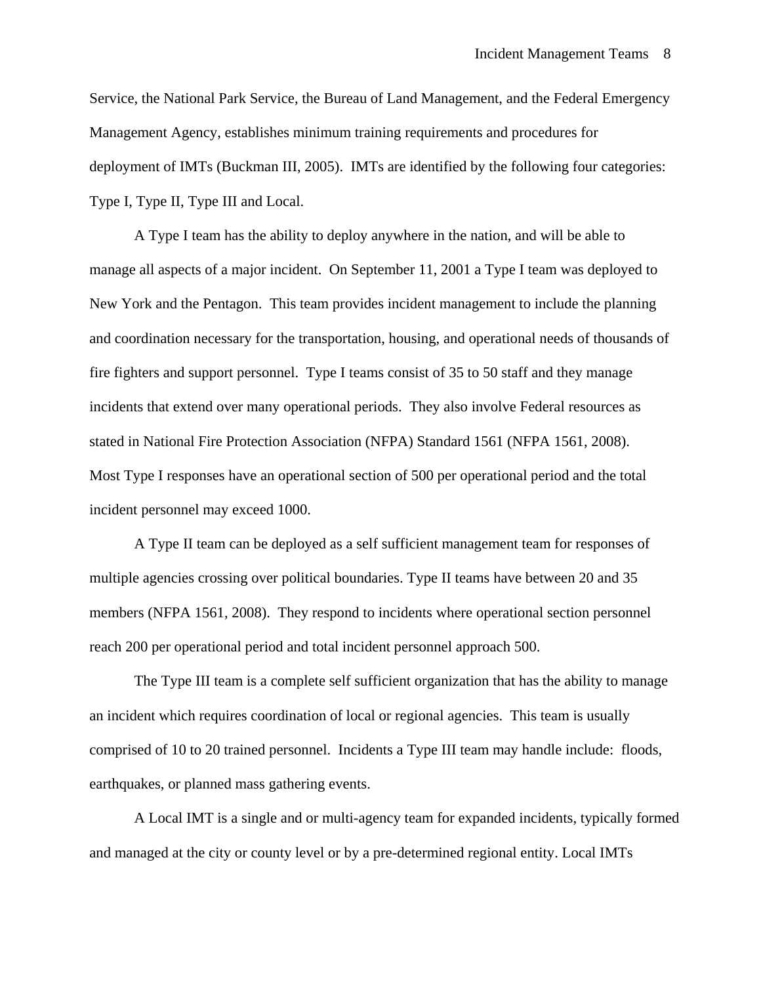Service, the National Park Service, the Bureau of Land Management, and the Federal Emergency Management Agency, establishes minimum training requirements and procedures for deployment of IMTs (Buckman III, 2005). IMTs are identified by the following four categories: Type I, Type II, Type III and Local.

 A Type I team has the ability to deploy anywhere in the nation, and will be able to manage all aspects of a major incident. On September 11, 2001 a Type I team was deployed to New York and the Pentagon. This team provides incident management to include the planning and coordination necessary for the transportation, housing, and operational needs of thousands of fire fighters and support personnel. Type I teams consist of 35 to 50 staff and they manage incidents that extend over many operational periods. They also involve Federal resources as stated in National Fire Protection Association (NFPA) Standard 1561 (NFPA 1561, 2008). Most Type I responses have an operational section of 500 per operational period and the total incident personnel may exceed 1000.

 A Type II team can be deployed as a self sufficient management team for responses of multiple agencies crossing over political boundaries. Type II teams have between 20 and 35 members (NFPA 1561, 2008). They respond to incidents where operational section personnel reach 200 per operational period and total incident personnel approach 500.

 The Type III team is a complete self sufficient organization that has the ability to manage an incident which requires coordination of local or regional agencies. This team is usually comprised of 10 to 20 trained personnel. Incidents a Type III team may handle include: floods, earthquakes, or planned mass gathering events.

 A Local IMT is a single and or multi-agency team for expanded incidents, typically formed and managed at the city or county level or by a pre-determined regional entity. Local IMTs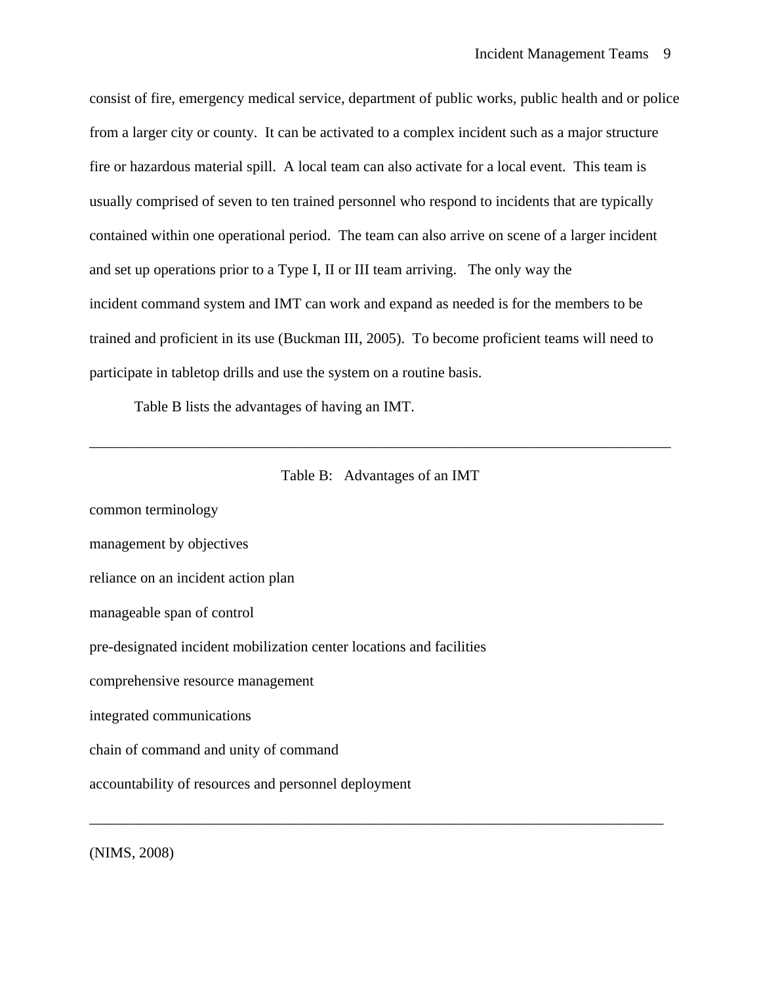consist of fire, emergency medical service, department of public works, public health and or police from a larger city or county. It can be activated to a complex incident such as a major structure fire or hazardous material spill. A local team can also activate for a local event. This team is usually comprised of seven to ten trained personnel who respond to incidents that are typically contained within one operational period. The team can also arrive on scene of a larger incident and set up operations prior to a Type I, II or III team arriving. The only way the incident command system and IMT can work and expand as needed is for the members to be trained and proficient in its use (Buckman III, 2005). To become proficient teams will need to participate in tabletop drills and use the system on a routine basis.

Table B lists the advantages of having an IMT.



\_\_\_\_\_\_\_\_\_\_\_\_\_\_\_\_\_\_\_\_\_\_\_\_\_\_\_\_\_\_\_\_\_\_\_\_\_\_\_\_\_\_\_\_\_\_\_\_\_\_\_\_\_\_\_\_\_\_\_\_\_\_\_\_\_\_\_\_\_\_\_\_\_\_\_\_\_\_

common terminology management by objectives reliance on an incident action plan manageable span of control pre-designated incident mobilization center locations and facilities comprehensive resource management integrated communications chain of command and unity of command accountability of resources and personnel deployment \_\_\_\_\_\_\_\_\_\_\_\_\_\_\_\_\_\_\_\_\_\_\_\_\_\_\_\_\_\_\_\_\_\_\_\_\_\_\_\_\_\_\_\_\_\_\_\_\_\_\_\_\_\_\_\_\_\_\_\_\_\_\_\_\_\_\_\_\_\_\_\_\_\_\_\_\_

(NIMS, 2008)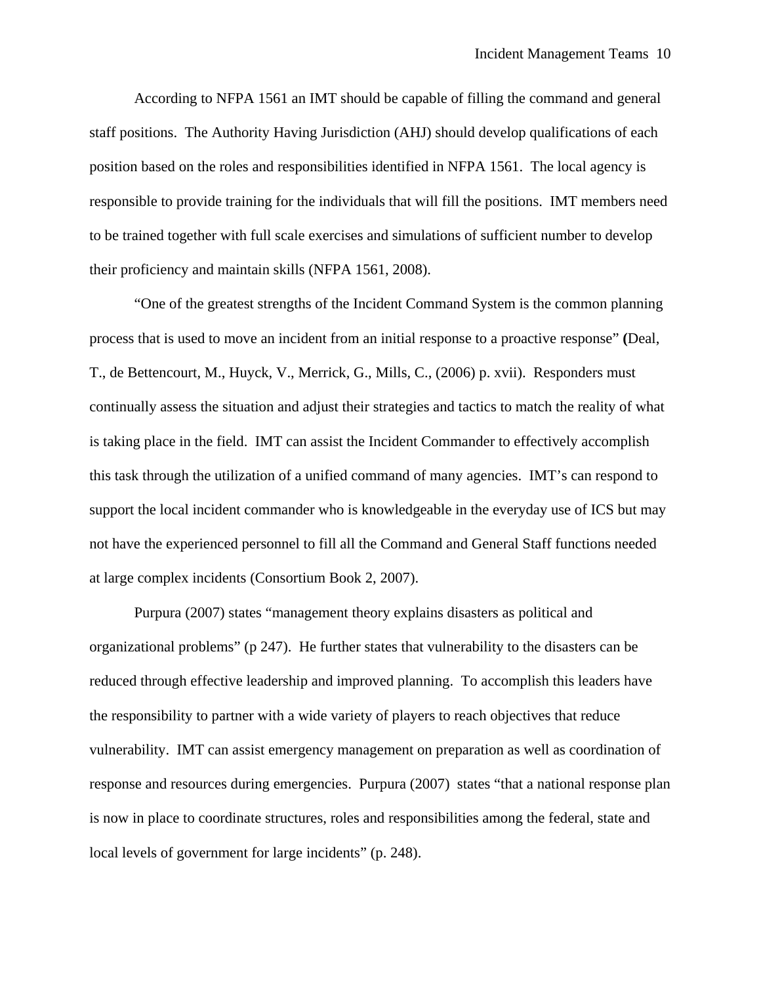According to NFPA 1561 an IMT should be capable of filling the command and general staff positions. The Authority Having Jurisdiction (AHJ) should develop qualifications of each position based on the roles and responsibilities identified in NFPA 1561. The local agency is responsible to provide training for the individuals that will fill the positions. IMT members need to be trained together with full scale exercises and simulations of sufficient number to develop their proficiency and maintain skills (NFPA 1561, 2008).

 "One of the greatest strengths of the Incident Command System is the common planning process that is used to move an incident from an initial response to a proactive response" **(**Deal, T., de Bettencourt, M., Huyck, V., Merrick, G., Mills, C., (2006) p. xvii). Responders must continually assess the situation and adjust their strategies and tactics to match the reality of what is taking place in the field. IMT can assist the Incident Commander to effectively accomplish this task through the utilization of a unified command of many agencies. IMT's can respond to support the local incident commander who is knowledgeable in the everyday use of ICS but may not have the experienced personnel to fill all the Command and General Staff functions needed at large complex incidents (Consortium Book 2, 2007).

 Purpura (2007) states "management theory explains disasters as political and organizational problems" (p 247). He further states that vulnerability to the disasters can be reduced through effective leadership and improved planning. To accomplish this leaders have the responsibility to partner with a wide variety of players to reach objectives that reduce vulnerability. IMT can assist emergency management on preparation as well as coordination of response and resources during emergencies. Purpura (2007) states "that a national response plan is now in place to coordinate structures, roles and responsibilities among the federal, state and local levels of government for large incidents" (p. 248).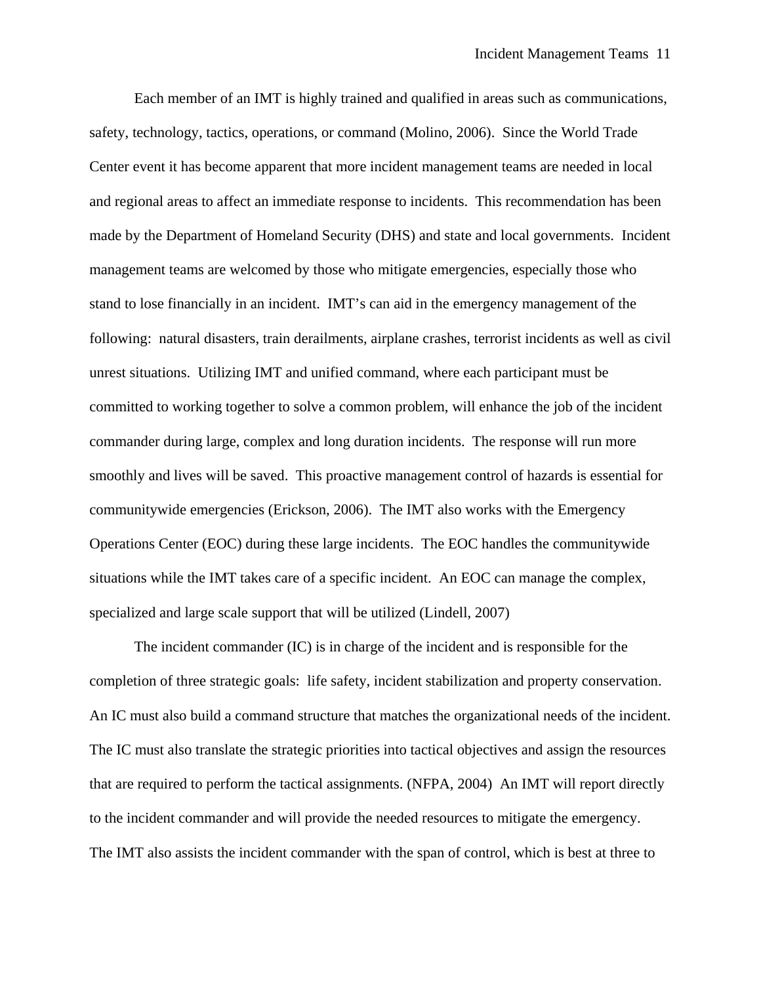Each member of an IMT is highly trained and qualified in areas such as communications, safety, technology, tactics, operations, or command (Molino, 2006). Since the World Trade Center event it has become apparent that more incident management teams are needed in local and regional areas to affect an immediate response to incidents. This recommendation has been made by the Department of Homeland Security (DHS) and state and local governments. Incident management teams are welcomed by those who mitigate emergencies, especially those who stand to lose financially in an incident. IMT's can aid in the emergency management of the following: natural disasters, train derailments, airplane crashes, terrorist incidents as well as civil unrest situations. Utilizing IMT and unified command, where each participant must be committed to working together to solve a common problem, will enhance the job of the incident commander during large, complex and long duration incidents. The response will run more smoothly and lives will be saved. This proactive management control of hazards is essential for communitywide emergencies (Erickson, 2006). The IMT also works with the Emergency Operations Center (EOC) during these large incidents. The EOC handles the communitywide situations while the IMT takes care of a specific incident. An EOC can manage the complex, specialized and large scale support that will be utilized (Lindell, 2007)

 The incident commander (IC) is in charge of the incident and is responsible for the completion of three strategic goals: life safety, incident stabilization and property conservation. An IC must also build a command structure that matches the organizational needs of the incident. The IC must also translate the strategic priorities into tactical objectives and assign the resources that are required to perform the tactical assignments. (NFPA, 2004) An IMT will report directly to the incident commander and will provide the needed resources to mitigate the emergency. The IMT also assists the incident commander with the span of control, which is best at three to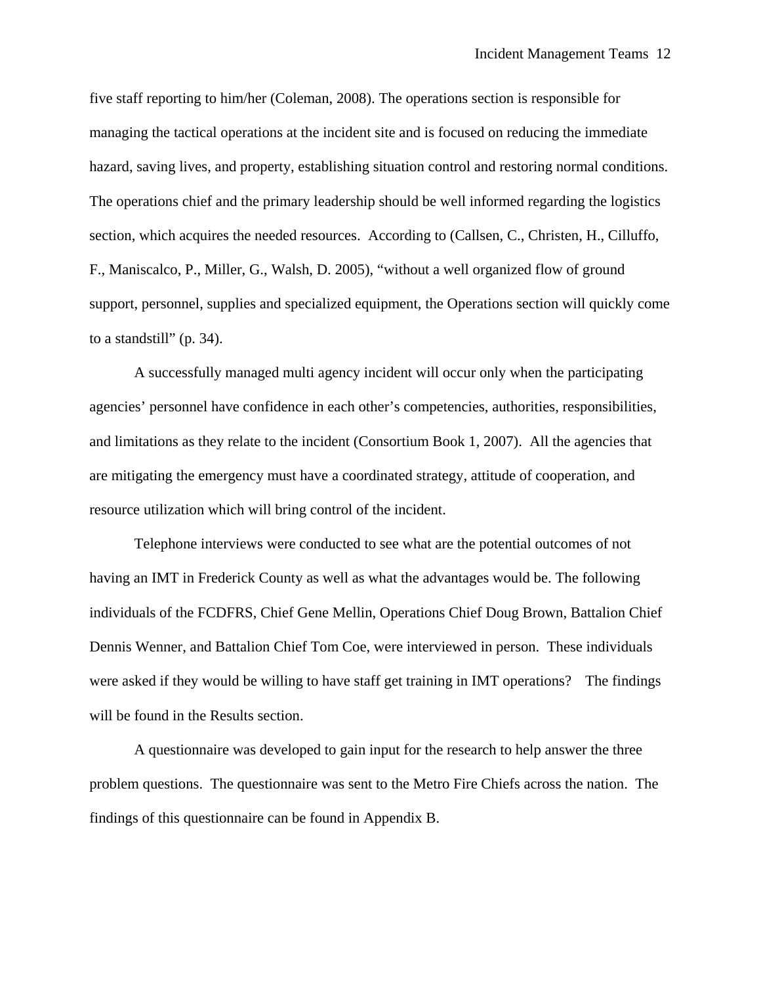five staff reporting to him/her (Coleman, 2008). The operations section is responsible for managing the tactical operations at the incident site and is focused on reducing the immediate hazard, saving lives, and property, establishing situation control and restoring normal conditions. The operations chief and the primary leadership should be well informed regarding the logistics section, which acquires the needed resources. According to (Callsen, C., Christen, H., Cilluffo, F., Maniscalco, P., Miller, G., Walsh, D. 2005), "without a well organized flow of ground support, personnel, supplies and specialized equipment, the Operations section will quickly come to a standstill" (p. 34).

 A successfully managed multi agency incident will occur only when the participating agencies' personnel have confidence in each other's competencies, authorities, responsibilities, and limitations as they relate to the incident (Consortium Book 1, 2007). All the agencies that are mitigating the emergency must have a coordinated strategy, attitude of cooperation, and resource utilization which will bring control of the incident.

 Telephone interviews were conducted to see what are the potential outcomes of not having an IMT in Frederick County as well as what the advantages would be. The following individuals of the FCDFRS, Chief Gene Mellin, Operations Chief Doug Brown, Battalion Chief Dennis Wenner, and Battalion Chief Tom Coe, were interviewed in person. These individuals were asked if they would be willing to have staff get training in IMT operations? The findings will be found in the Results section.

 A questionnaire was developed to gain input for the research to help answer the three problem questions. The questionnaire was sent to the Metro Fire Chiefs across the nation. The findings of this questionnaire can be found in Appendix B.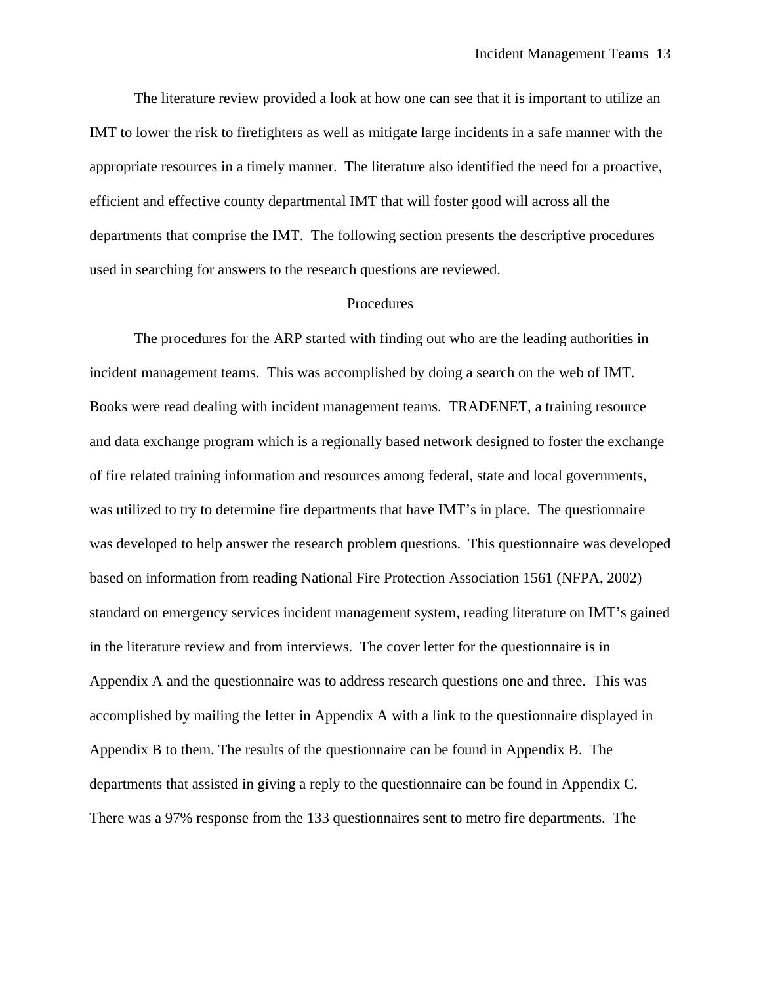The literature review provided a look at how one can see that it is important to utilize an IMT to lower the risk to firefighters as well as mitigate large incidents in a safe manner with the appropriate resources in a timely manner. The literature also identified the need for a proactive, efficient and effective county departmental IMT that will foster good will across all the departments that comprise the IMT. The following section presents the descriptive procedures used in searching for answers to the research questions are reviewed.

#### **Procedures**

 The procedures for the ARP started with finding out who are the leading authorities in incident management teams. This was accomplished by doing a search on the web of IMT. Books were read dealing with incident management teams. TRADENET, a training resource and data exchange program which is a regionally based network designed to foster the exchange of fire related training information and resources among federal, state and local governments, was utilized to try to determine fire departments that have IMT's in place. The questionnaire was developed to help answer the research problem questions. This questionnaire was developed based on information from reading National Fire Protection Association 1561 (NFPA, 2002) standard on emergency services incident management system, reading literature on IMT's gained in the literature review and from interviews. The cover letter for the questionnaire is in Appendix A and the questionnaire was to address research questions one and three. This was accomplished by mailing the letter in Appendix A with a link to the questionnaire displayed in Appendix B to them. The results of the questionnaire can be found in Appendix B. The departments that assisted in giving a reply to the questionnaire can be found in Appendix C. There was a 97% response from the 133 questionnaires sent to metro fire departments. The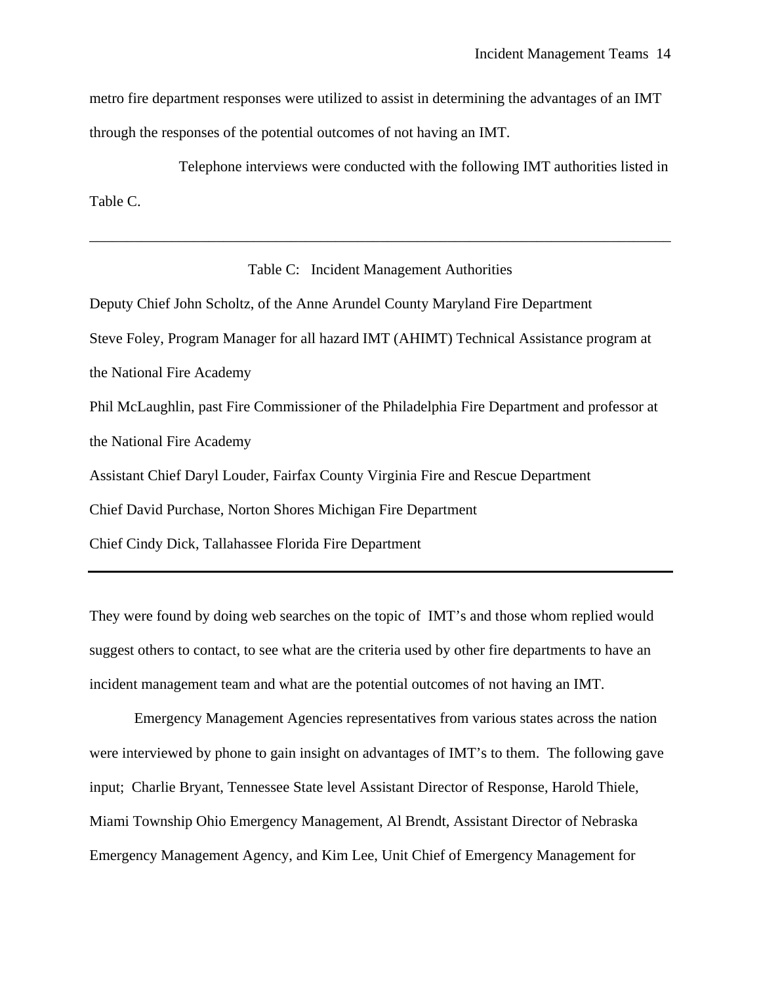metro fire department responses were utilized to assist in determining the advantages of an IMT through the responses of the potential outcomes of not having an IMT.

 Telephone interviews were conducted with the following IMT authorities listed in Table C.

#### Table C: Incident Management Authorities

\_\_\_\_\_\_\_\_\_\_\_\_\_\_\_\_\_\_\_\_\_\_\_\_\_\_\_\_\_\_\_\_\_\_\_\_\_\_\_\_\_\_\_\_\_\_\_\_\_\_\_\_\_\_\_\_\_\_\_\_\_\_\_\_\_\_\_\_\_\_\_\_\_\_\_\_\_\_

Deputy Chief John Scholtz, of the Anne Arundel County Maryland Fire Department Steve Foley, Program Manager for all hazard IMT (AHIMT) Technical Assistance program at the National Fire Academy Phil McLaughlin, past Fire Commissioner of the Philadelphia Fire Department and professor at the National Fire Academy Assistant Chief Daryl Louder, Fairfax County Virginia Fire and Rescue Department Chief David Purchase, Norton Shores Michigan Fire Department Chief Cindy Dick, Tallahassee Florida Fire Department

They were found by doing web searches on the topic of IMT's and those whom replied would suggest others to contact, to see what are the criteria used by other fire departments to have an incident management team and what are the potential outcomes of not having an IMT.

 Emergency Management Agencies representatives from various states across the nation were interviewed by phone to gain insight on advantages of IMT's to them. The following gave input; Charlie Bryant, Tennessee State level Assistant Director of Response, Harold Thiele, Miami Township Ohio Emergency Management, Al Brendt, Assistant Director of Nebraska Emergency Management Agency, and Kim Lee, Unit Chief of Emergency Management for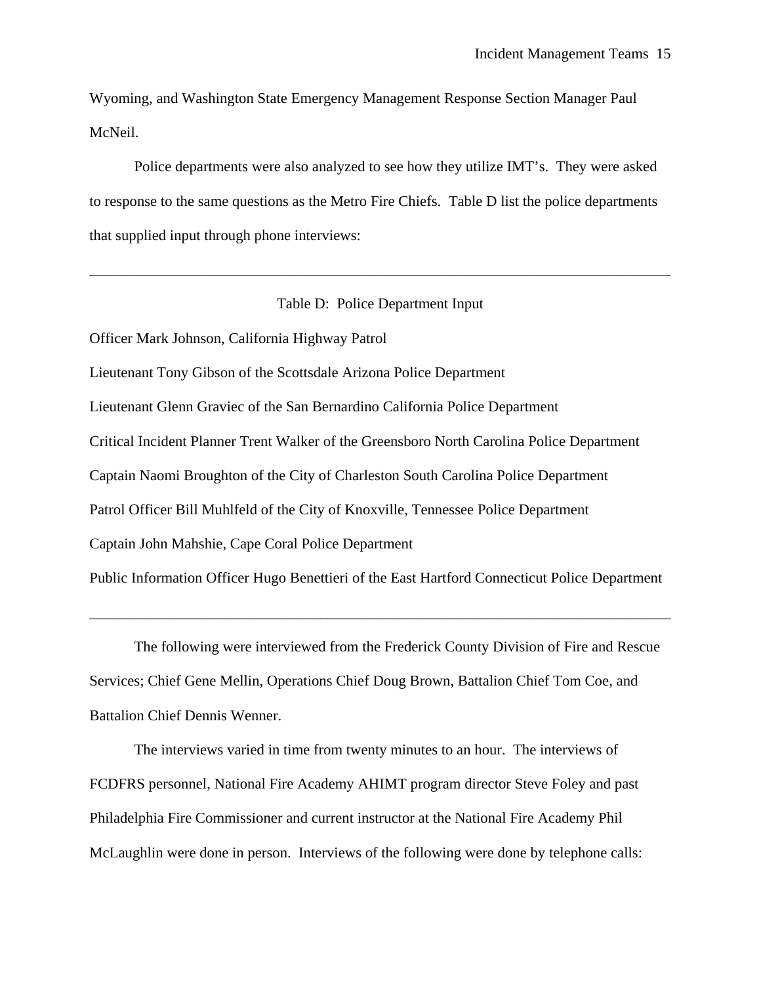Wyoming, and Washington State Emergency Management Response Section Manager Paul McNeil.

 Police departments were also analyzed to see how they utilize IMT's. They were asked to response to the same questions as the Metro Fire Chiefs. Table D list the police departments that supplied input through phone interviews:

#### Table D: Police Department Input

\_\_\_\_\_\_\_\_\_\_\_\_\_\_\_\_\_\_\_\_\_\_\_\_\_\_\_\_\_\_\_\_\_\_\_\_\_\_\_\_\_\_\_\_\_\_\_\_\_\_\_\_\_\_\_\_\_\_\_\_\_\_\_\_\_\_\_\_\_\_\_\_\_\_\_\_\_\_

Officer Mark Johnson, California Highway Patrol

Lieutenant Tony Gibson of the Scottsdale Arizona Police Department Lieutenant Glenn Graviec of the San Bernardino California Police Department Critical Incident Planner Trent Walker of the Greensboro North Carolina Police Department Captain Naomi Broughton of the City of Charleston South Carolina Police Department Patrol Officer Bill Muhlfeld of the City of Knoxville, Tennessee Police Department Captain John Mahshie, Cape Coral Police Department Public Information Officer Hugo Benettieri of the East Hartford Connecticut Police Department

 The following were interviewed from the Frederick County Division of Fire and Rescue Services; Chief Gene Mellin, Operations Chief Doug Brown, Battalion Chief Tom Coe, and Battalion Chief Dennis Wenner.

\_\_\_\_\_\_\_\_\_\_\_\_\_\_\_\_\_\_\_\_\_\_\_\_\_\_\_\_\_\_\_\_\_\_\_\_\_\_\_\_\_\_\_\_\_\_\_\_\_\_\_\_\_\_\_\_\_\_\_\_\_\_\_\_\_\_\_\_\_\_\_\_\_\_\_\_\_\_

 The interviews varied in time from twenty minutes to an hour. The interviews of FCDFRS personnel, National Fire Academy AHIMT program director Steve Foley and past Philadelphia Fire Commissioner and current instructor at the National Fire Academy Phil McLaughlin were done in person. Interviews of the following were done by telephone calls: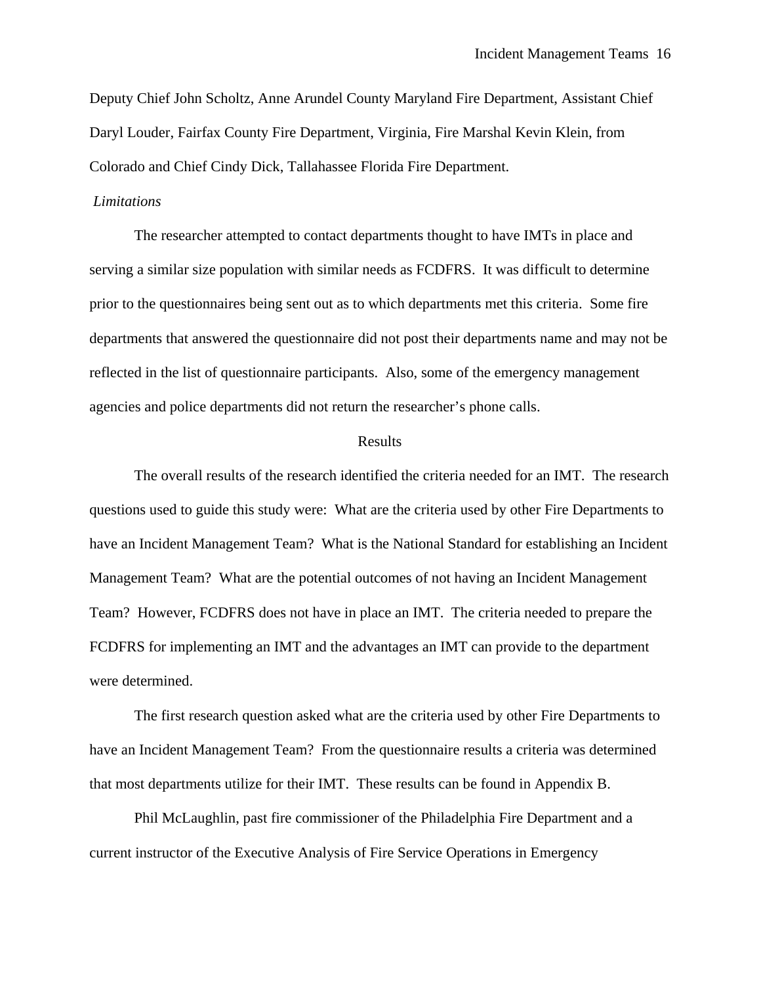Deputy Chief John Scholtz, Anne Arundel County Maryland Fire Department, Assistant Chief Daryl Louder, Fairfax County Fire Department, Virginia, Fire Marshal Kevin Klein, from Colorado and Chief Cindy Dick, Tallahassee Florida Fire Department.

#### *Limitations*

 The researcher attempted to contact departments thought to have IMTs in place and serving a similar size population with similar needs as FCDFRS. It was difficult to determine prior to the questionnaires being sent out as to which departments met this criteria. Some fire departments that answered the questionnaire did not post their departments name and may not be reflected in the list of questionnaire participants. Also, some of the emergency management agencies and police departments did not return the researcher's phone calls.

#### Results

 The overall results of the research identified the criteria needed for an IMT. The research questions used to guide this study were: What are the criteria used by other Fire Departments to have an Incident Management Team? What is the National Standard for establishing an Incident Management Team? What are the potential outcomes of not having an Incident Management Team? However, FCDFRS does not have in place an IMT. The criteria needed to prepare the FCDFRS for implementing an IMT and the advantages an IMT can provide to the department were determined.

 The first research question asked what are the criteria used by other Fire Departments to have an Incident Management Team? From the questionnaire results a criteria was determined that most departments utilize for their IMT. These results can be found in Appendix B.

 Phil McLaughlin, past fire commissioner of the Philadelphia Fire Department and a current instructor of the Executive Analysis of Fire Service Operations in Emergency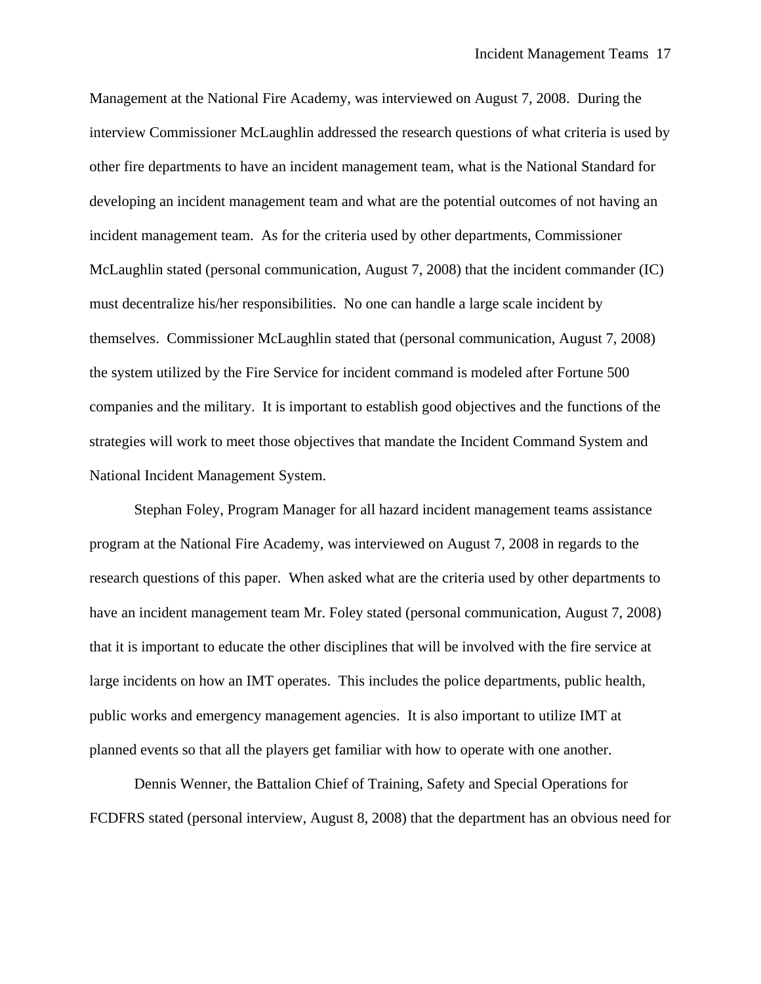Management at the National Fire Academy, was interviewed on August 7, 2008. During the interview Commissioner McLaughlin addressed the research questions of what criteria is used by other fire departments to have an incident management team, what is the National Standard for developing an incident management team and what are the potential outcomes of not having an incident management team. As for the criteria used by other departments, Commissioner McLaughlin stated (personal communication, August 7, 2008) that the incident commander (IC) must decentralize his/her responsibilities. No one can handle a large scale incident by themselves. Commissioner McLaughlin stated that (personal communication, August 7, 2008) the system utilized by the Fire Service for incident command is modeled after Fortune 500 companies and the military. It is important to establish good objectives and the functions of the strategies will work to meet those objectives that mandate the Incident Command System and National Incident Management System.

 Stephan Foley, Program Manager for all hazard incident management teams assistance program at the National Fire Academy, was interviewed on August 7, 2008 in regards to the research questions of this paper. When asked what are the criteria used by other departments to have an incident management team Mr. Foley stated (personal communication, August 7, 2008) that it is important to educate the other disciplines that will be involved with the fire service at large incidents on how an IMT operates. This includes the police departments, public health, public works and emergency management agencies. It is also important to utilize IMT at planned events so that all the players get familiar with how to operate with one another.

 Dennis Wenner, the Battalion Chief of Training, Safety and Special Operations for FCDFRS stated (personal interview, August 8, 2008) that the department has an obvious need for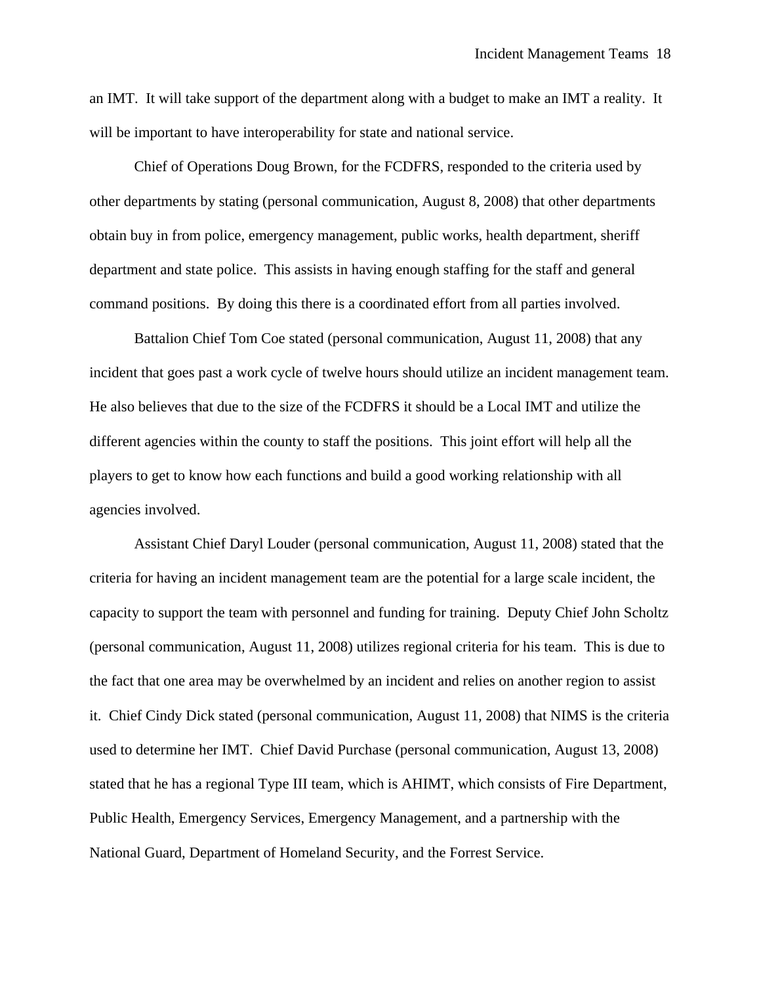an IMT. It will take support of the department along with a budget to make an IMT a reality. It will be important to have interoperability for state and national service.

 Chief of Operations Doug Brown, for the FCDFRS, responded to the criteria used by other departments by stating (personal communication, August 8, 2008) that other departments obtain buy in from police, emergency management, public works, health department, sheriff department and state police. This assists in having enough staffing for the staff and general command positions. By doing this there is a coordinated effort from all parties involved.

 Battalion Chief Tom Coe stated (personal communication, August 11, 2008) that any incident that goes past a work cycle of twelve hours should utilize an incident management team. He also believes that due to the size of the FCDFRS it should be a Local IMT and utilize the different agencies within the county to staff the positions. This joint effort will help all the players to get to know how each functions and build a good working relationship with all agencies involved.

 Assistant Chief Daryl Louder (personal communication, August 11, 2008) stated that the criteria for having an incident management team are the potential for a large scale incident, the capacity to support the team with personnel and funding for training. Deputy Chief John Scholtz (personal communication, August 11, 2008) utilizes regional criteria for his team. This is due to the fact that one area may be overwhelmed by an incident and relies on another region to assist it. Chief Cindy Dick stated (personal communication, August 11, 2008) that NIMS is the criteria used to determine her IMT. Chief David Purchase (personal communication, August 13, 2008) stated that he has a regional Type III team, which is AHIMT, which consists of Fire Department, Public Health, Emergency Services, Emergency Management, and a partnership with the National Guard, Department of Homeland Security, and the Forrest Service.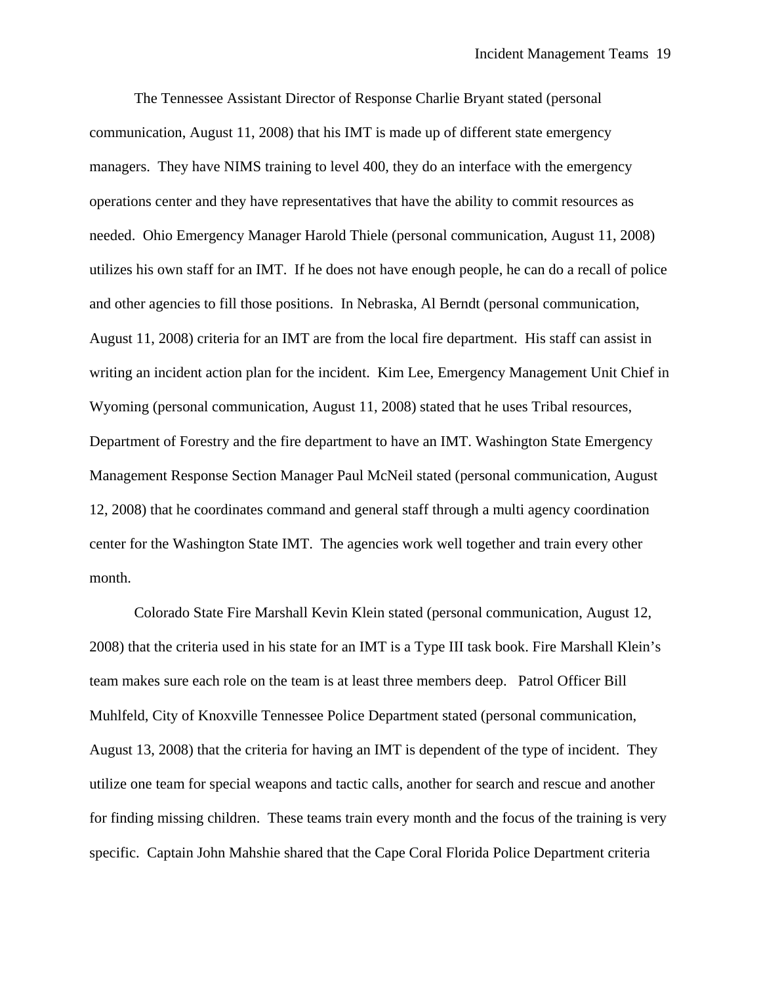The Tennessee Assistant Director of Response Charlie Bryant stated (personal communication, August 11, 2008) that his IMT is made up of different state emergency managers. They have NIMS training to level 400, they do an interface with the emergency operations center and they have representatives that have the ability to commit resources as needed. Ohio Emergency Manager Harold Thiele (personal communication, August 11, 2008) utilizes his own staff for an IMT. If he does not have enough people, he can do a recall of police and other agencies to fill those positions. In Nebraska, Al Berndt (personal communication, August 11, 2008) criteria for an IMT are from the local fire department. His staff can assist in writing an incident action plan for the incident. Kim Lee, Emergency Management Unit Chief in Wyoming (personal communication, August 11, 2008) stated that he uses Tribal resources, Department of Forestry and the fire department to have an IMT. Washington State Emergency Management Response Section Manager Paul McNeil stated (personal communication, August 12, 2008) that he coordinates command and general staff through a multi agency coordination center for the Washington State IMT. The agencies work well together and train every other month.

 Colorado State Fire Marshall Kevin Klein stated (personal communication, August 12, 2008) that the criteria used in his state for an IMT is a Type III task book. Fire Marshall Klein's team makes sure each role on the team is at least three members deep. Patrol Officer Bill Muhlfeld, City of Knoxville Tennessee Police Department stated (personal communication, August 13, 2008) that the criteria for having an IMT is dependent of the type of incident. They utilize one team for special weapons and tactic calls, another for search and rescue and another for finding missing children. These teams train every month and the focus of the training is very specific. Captain John Mahshie shared that the Cape Coral Florida Police Department criteria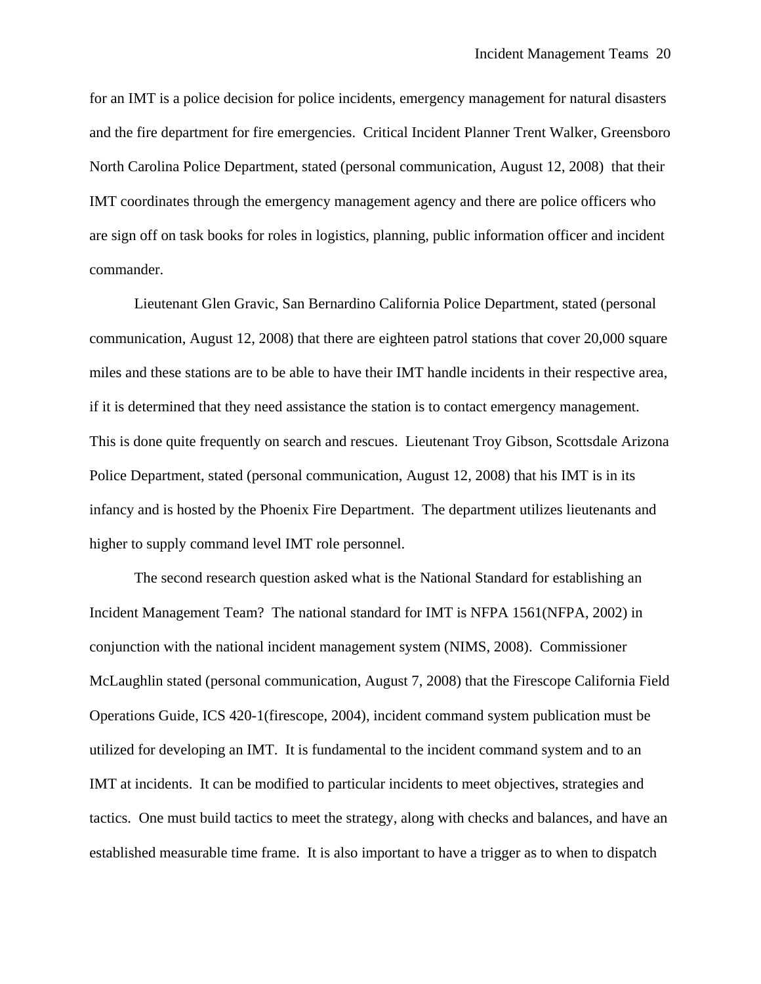for an IMT is a police decision for police incidents, emergency management for natural disasters and the fire department for fire emergencies. Critical Incident Planner Trent Walker, Greensboro North Carolina Police Department, stated (personal communication, August 12, 2008) that their IMT coordinates through the emergency management agency and there are police officers who are sign off on task books for roles in logistics, planning, public information officer and incident commander.

 Lieutenant Glen Gravic, San Bernardino California Police Department, stated (personal communication, August 12, 2008) that there are eighteen patrol stations that cover 20,000 square miles and these stations are to be able to have their IMT handle incidents in their respective area, if it is determined that they need assistance the station is to contact emergency management. This is done quite frequently on search and rescues. Lieutenant Troy Gibson, Scottsdale Arizona Police Department, stated (personal communication, August 12, 2008) that his IMT is in its infancy and is hosted by the Phoenix Fire Department. The department utilizes lieutenants and higher to supply command level IMT role personnel.

 The second research question asked what is the National Standard for establishing an Incident Management Team? The national standard for IMT is NFPA 1561(NFPA, 2002) in conjunction with the national incident management system (NIMS, 2008). Commissioner McLaughlin stated (personal communication, August 7, 2008) that the Firescope California Field Operations Guide, ICS 420-1(firescope, 2004), incident command system publication must be utilized for developing an IMT. It is fundamental to the incident command system and to an IMT at incidents. It can be modified to particular incidents to meet objectives, strategies and tactics. One must build tactics to meet the strategy, along with checks and balances, and have an established measurable time frame. It is also important to have a trigger as to when to dispatch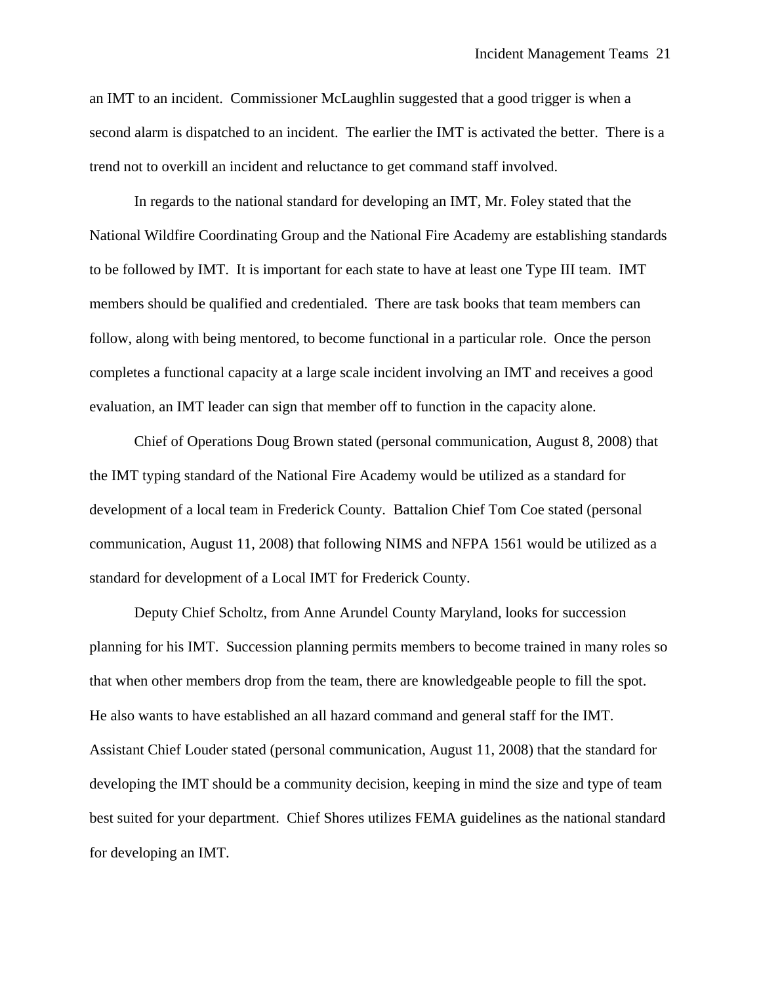an IMT to an incident. Commissioner McLaughlin suggested that a good trigger is when a second alarm is dispatched to an incident. The earlier the IMT is activated the better. There is a trend not to overkill an incident and reluctance to get command staff involved.

In regards to the national standard for developing an IMT, Mr. Foley stated that the National Wildfire Coordinating Group and the National Fire Academy are establishing standards to be followed by IMT. It is important for each state to have at least one Type III team. IMT members should be qualified and credentialed. There are task books that team members can follow, along with being mentored, to become functional in a particular role. Once the person completes a functional capacity at a large scale incident involving an IMT and receives a good evaluation, an IMT leader can sign that member off to function in the capacity alone.

 Chief of Operations Doug Brown stated (personal communication, August 8, 2008) that the IMT typing standard of the National Fire Academy would be utilized as a standard for development of a local team in Frederick County. Battalion Chief Tom Coe stated (personal communication, August 11, 2008) that following NIMS and NFPA 1561 would be utilized as a standard for development of a Local IMT for Frederick County.

 Deputy Chief Scholtz, from Anne Arundel County Maryland, looks for succession planning for his IMT. Succession planning permits members to become trained in many roles so that when other members drop from the team, there are knowledgeable people to fill the spot. He also wants to have established an all hazard command and general staff for the IMT. Assistant Chief Louder stated (personal communication, August 11, 2008) that the standard for developing the IMT should be a community decision, keeping in mind the size and type of team best suited for your department. Chief Shores utilizes FEMA guidelines as the national standard for developing an IMT.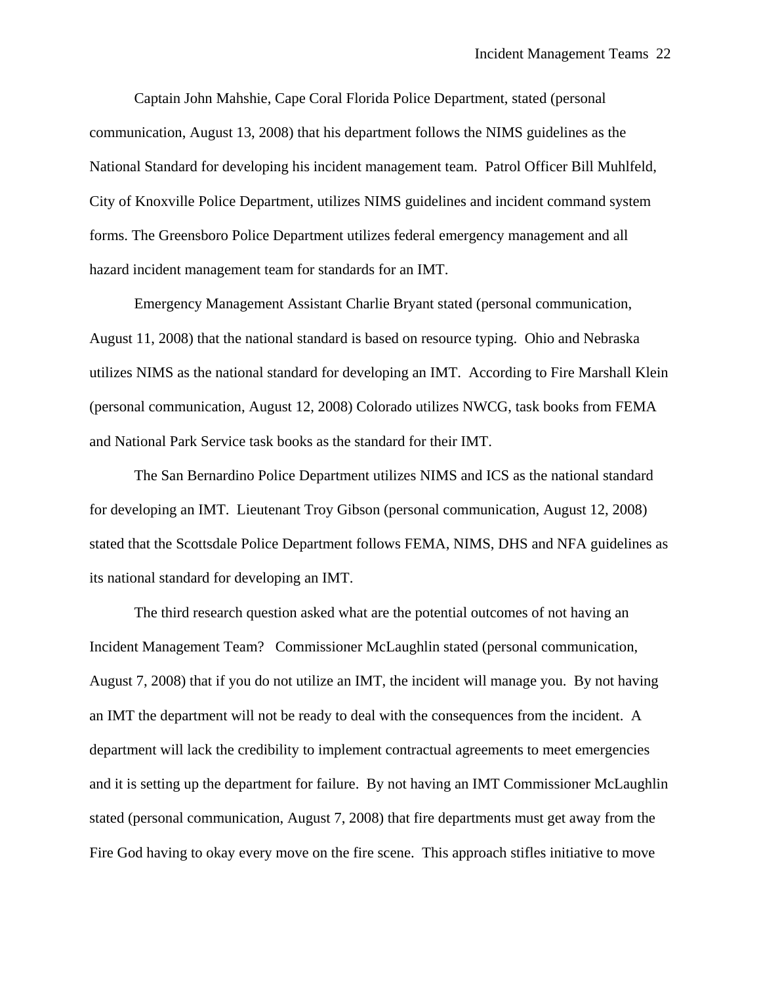Captain John Mahshie, Cape Coral Florida Police Department, stated (personal communication, August 13, 2008) that his department follows the NIMS guidelines as the National Standard for developing his incident management team. Patrol Officer Bill Muhlfeld, City of Knoxville Police Department, utilizes NIMS guidelines and incident command system forms. The Greensboro Police Department utilizes federal emergency management and all hazard incident management team for standards for an IMT.

 Emergency Management Assistant Charlie Bryant stated (personal communication, August 11, 2008) that the national standard is based on resource typing. Ohio and Nebraska utilizes NIMS as the national standard for developing an IMT. According to Fire Marshall Klein (personal communication, August 12, 2008) Colorado utilizes NWCG, task books from FEMA and National Park Service task books as the standard for their IMT.

 The San Bernardino Police Department utilizes NIMS and ICS as the national standard for developing an IMT. Lieutenant Troy Gibson (personal communication, August 12, 2008) stated that the Scottsdale Police Department follows FEMA, NIMS, DHS and NFA guidelines as its national standard for developing an IMT.

 The third research question asked what are the potential outcomes of not having an Incident Management Team? Commissioner McLaughlin stated (personal communication, August 7, 2008) that if you do not utilize an IMT, the incident will manage you. By not having an IMT the department will not be ready to deal with the consequences from the incident. A department will lack the credibility to implement contractual agreements to meet emergencies and it is setting up the department for failure. By not having an IMT Commissioner McLaughlin stated (personal communication, August 7, 2008) that fire departments must get away from the Fire God having to okay every move on the fire scene. This approach stifles initiative to move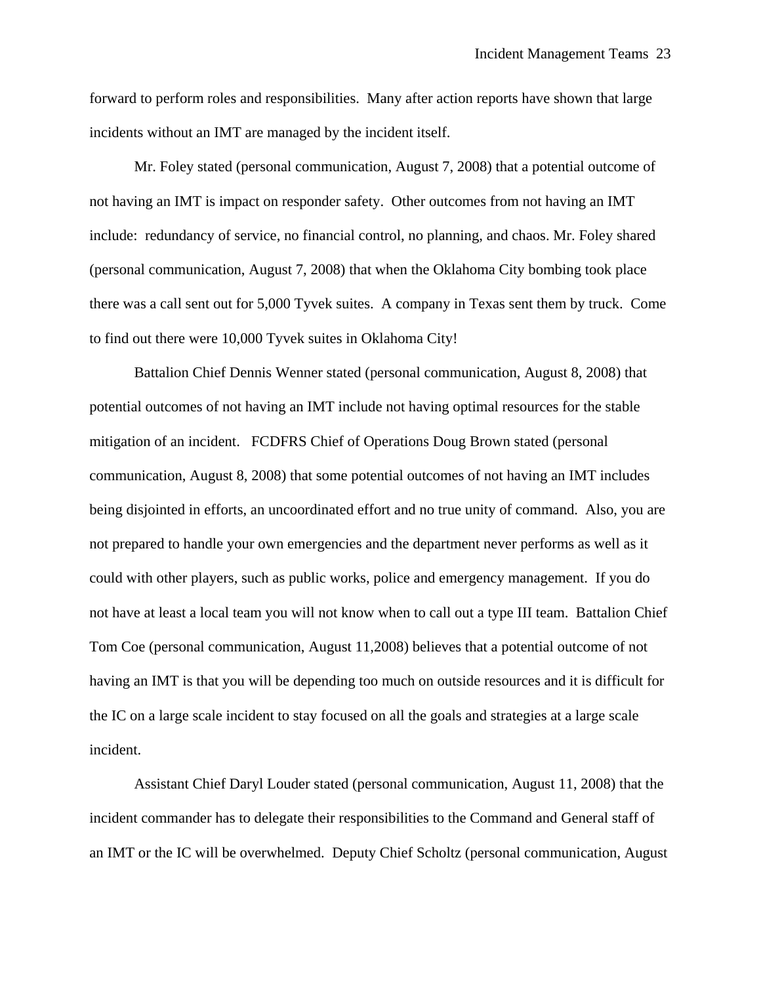forward to perform roles and responsibilities. Many after action reports have shown that large incidents without an IMT are managed by the incident itself.

 Mr. Foley stated (personal communication, August 7, 2008) that a potential outcome of not having an IMT is impact on responder safety. Other outcomes from not having an IMT include: redundancy of service, no financial control, no planning, and chaos. Mr. Foley shared (personal communication, August 7, 2008) that when the Oklahoma City bombing took place there was a call sent out for 5,000 Tyvek suites. A company in Texas sent them by truck. Come to find out there were 10,000 Tyvek suites in Oklahoma City!

 Battalion Chief Dennis Wenner stated (personal communication, August 8, 2008) that potential outcomes of not having an IMT include not having optimal resources for the stable mitigation of an incident. FCDFRS Chief of Operations Doug Brown stated (personal communication, August 8, 2008) that some potential outcomes of not having an IMT includes being disjointed in efforts, an uncoordinated effort and no true unity of command. Also, you are not prepared to handle your own emergencies and the department never performs as well as it could with other players, such as public works, police and emergency management. If you do not have at least a local team you will not know when to call out a type III team. Battalion Chief Tom Coe (personal communication, August 11,2008) believes that a potential outcome of not having an IMT is that you will be depending too much on outside resources and it is difficult for the IC on a large scale incident to stay focused on all the goals and strategies at a large scale incident.

 Assistant Chief Daryl Louder stated (personal communication, August 11, 2008) that the incident commander has to delegate their responsibilities to the Command and General staff of an IMT or the IC will be overwhelmed. Deputy Chief Scholtz (personal communication, August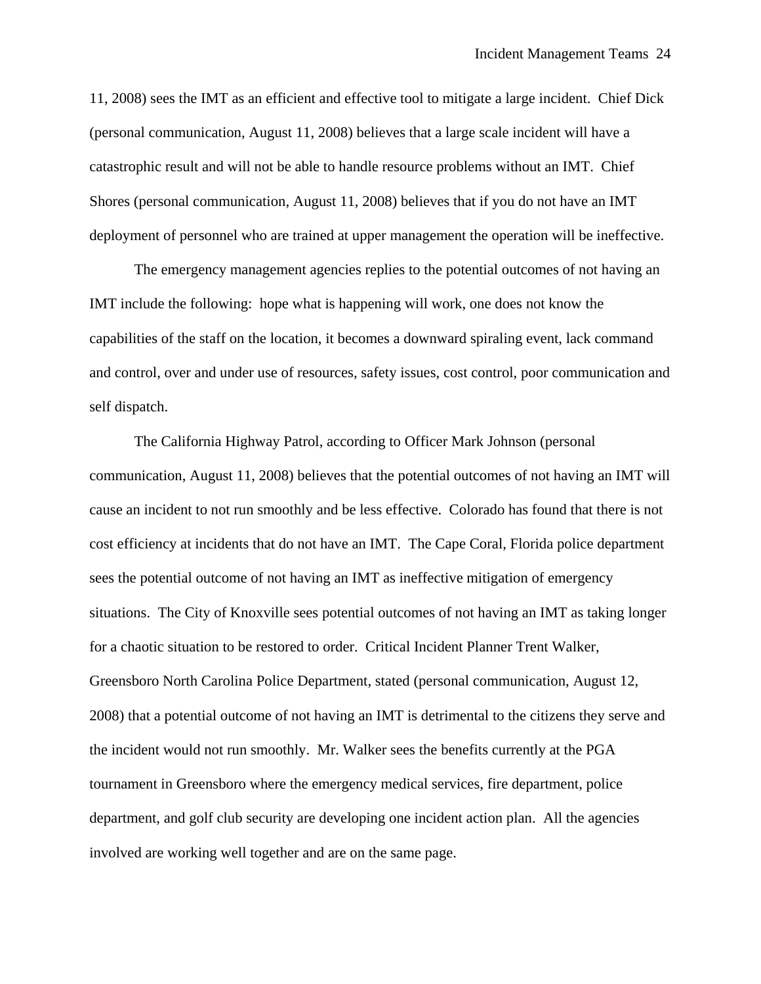11, 2008) sees the IMT as an efficient and effective tool to mitigate a large incident. Chief Dick (personal communication, August 11, 2008) believes that a large scale incident will have a catastrophic result and will not be able to handle resource problems without an IMT. Chief Shores (personal communication, August 11, 2008) believes that if you do not have an IMT deployment of personnel who are trained at upper management the operation will be ineffective.

 The emergency management agencies replies to the potential outcomes of not having an IMT include the following: hope what is happening will work, one does not know the capabilities of the staff on the location, it becomes a downward spiraling event, lack command and control, over and under use of resources, safety issues, cost control, poor communication and self dispatch.

 The California Highway Patrol, according to Officer Mark Johnson (personal communication, August 11, 2008) believes that the potential outcomes of not having an IMT will cause an incident to not run smoothly and be less effective. Colorado has found that there is not cost efficiency at incidents that do not have an IMT. The Cape Coral, Florida police department sees the potential outcome of not having an IMT as ineffective mitigation of emergency situations. The City of Knoxville sees potential outcomes of not having an IMT as taking longer for a chaotic situation to be restored to order. Critical Incident Planner Trent Walker, Greensboro North Carolina Police Department, stated (personal communication, August 12, 2008) that a potential outcome of not having an IMT is detrimental to the citizens they serve and the incident would not run smoothly. Mr. Walker sees the benefits currently at the PGA tournament in Greensboro where the emergency medical services, fire department, police department, and golf club security are developing one incident action plan. All the agencies involved are working well together and are on the same page.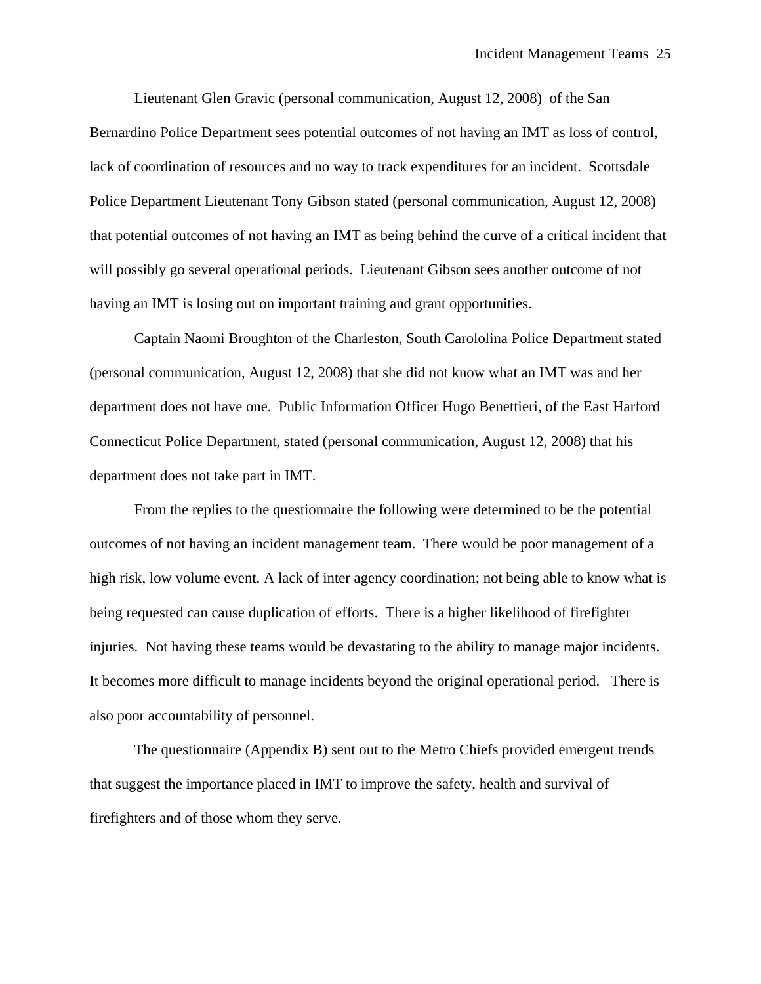Lieutenant Glen Gravic (personal communication, August 12, 2008) of the San Bernardino Police Department sees potential outcomes of not having an IMT as loss of control, lack of coordination of resources and no way to track expenditures for an incident. Scottsdale Police Department Lieutenant Tony Gibson stated (personal communication, August 12, 2008) that potential outcomes of not having an IMT as being behind the curve of a critical incident that will possibly go several operational periods. Lieutenant Gibson sees another outcome of not having an IMT is losing out on important training and grant opportunities.

 Captain Naomi Broughton of the Charleston, South Carololina Police Department stated (personal communication, August 12, 2008) that she did not know what an IMT was and her department does not have one. Public Information Officer Hugo Benettieri, of the East Harford Connecticut Police Department, stated (personal communication, August 12, 2008) that his department does not take part in IMT.

 From the replies to the questionnaire the following were determined to be the potential outcomes of not having an incident management team. There would be poor management of a high risk, low volume event. A lack of inter agency coordination; not being able to know what is being requested can cause duplication of efforts. There is a higher likelihood of firefighter injuries. Not having these teams would be devastating to the ability to manage major incidents. It becomes more difficult to manage incidents beyond the original operational period. There is also poor accountability of personnel.

 The questionnaire (Appendix B) sent out to the Metro Chiefs provided emergent trends that suggest the importance placed in IMT to improve the safety, health and survival of firefighters and of those whom they serve.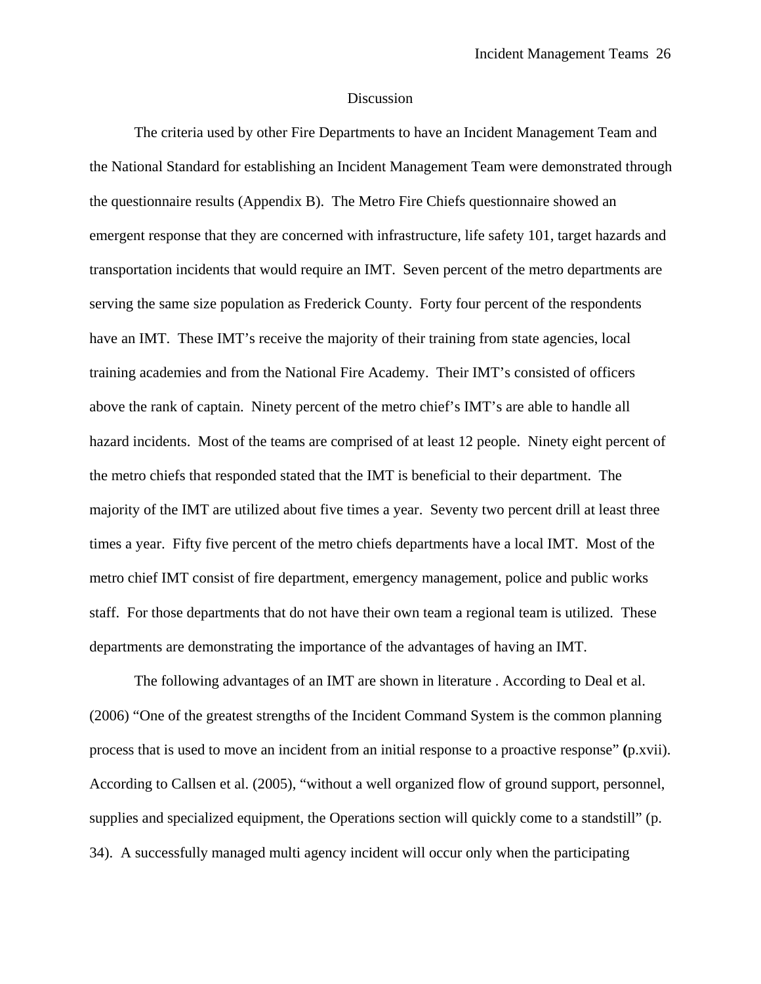#### Discussion

The criteria used by other Fire Departments to have an Incident Management Team and the National Standard for establishing an Incident Management Team were demonstrated through the questionnaire results (Appendix B). The Metro Fire Chiefs questionnaire showed an emergent response that they are concerned with infrastructure, life safety 101, target hazards and transportation incidents that would require an IMT. Seven percent of the metro departments are serving the same size population as Frederick County. Forty four percent of the respondents have an IMT. These IMT's receive the majority of their training from state agencies, local training academies and from the National Fire Academy. Their IMT's consisted of officers above the rank of captain. Ninety percent of the metro chief's IMT's are able to handle all hazard incidents. Most of the teams are comprised of at least 12 people. Ninety eight percent of the metro chiefs that responded stated that the IMT is beneficial to their department. The majority of the IMT are utilized about five times a year. Seventy two percent drill at least three times a year. Fifty five percent of the metro chiefs departments have a local IMT. Most of the metro chief IMT consist of fire department, emergency management, police and public works staff. For those departments that do not have their own team a regional team is utilized. These departments are demonstrating the importance of the advantages of having an IMT.

 The following advantages of an IMT are shown in literature . According to Deal et al. (2006) "One of the greatest strengths of the Incident Command System is the common planning process that is used to move an incident from an initial response to a proactive response" **(**p.xvii). According to Callsen et al. (2005), "without a well organized flow of ground support, personnel, supplies and specialized equipment, the Operations section will quickly come to a standstill" (p. 34). A successfully managed multi agency incident will occur only when the participating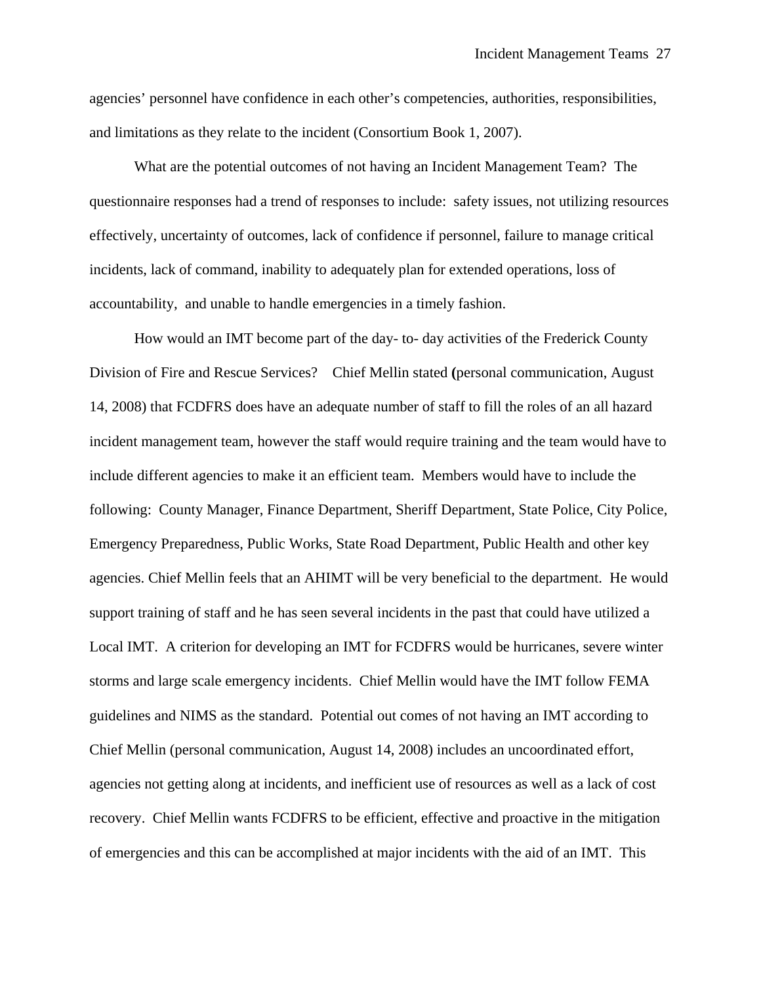agencies' personnel have confidence in each other's competencies, authorities, responsibilities, and limitations as they relate to the incident (Consortium Book 1, 2007).

 What are the potential outcomes of not having an Incident Management Team? The questionnaire responses had a trend of responses to include: safety issues, not utilizing resources effectively, uncertainty of outcomes, lack of confidence if personnel, failure to manage critical incidents, lack of command, inability to adequately plan for extended operations, loss of accountability, and unable to handle emergencies in a timely fashion.

 How would an IMT become part of the day- to- day activities of the Frederick County Division of Fire and Rescue Services? Chief Mellin stated **(**personal communication, August 14, 2008) that FCDFRS does have an adequate number of staff to fill the roles of an all hazard incident management team, however the staff would require training and the team would have to include different agencies to make it an efficient team. Members would have to include the following: County Manager, Finance Department, Sheriff Department, State Police, City Police, Emergency Preparedness, Public Works, State Road Department, Public Health and other key agencies. Chief Mellin feels that an AHIMT will be very beneficial to the department. He would support training of staff and he has seen several incidents in the past that could have utilized a Local IMT. A criterion for developing an IMT for FCDFRS would be hurricanes, severe winter storms and large scale emergency incidents. Chief Mellin would have the IMT follow FEMA guidelines and NIMS as the standard. Potential out comes of not having an IMT according to Chief Mellin (personal communication, August 14, 2008) includes an uncoordinated effort, agencies not getting along at incidents, and inefficient use of resources as well as a lack of cost recovery. Chief Mellin wants FCDFRS to be efficient, effective and proactive in the mitigation of emergencies and this can be accomplished at major incidents with the aid of an IMT. This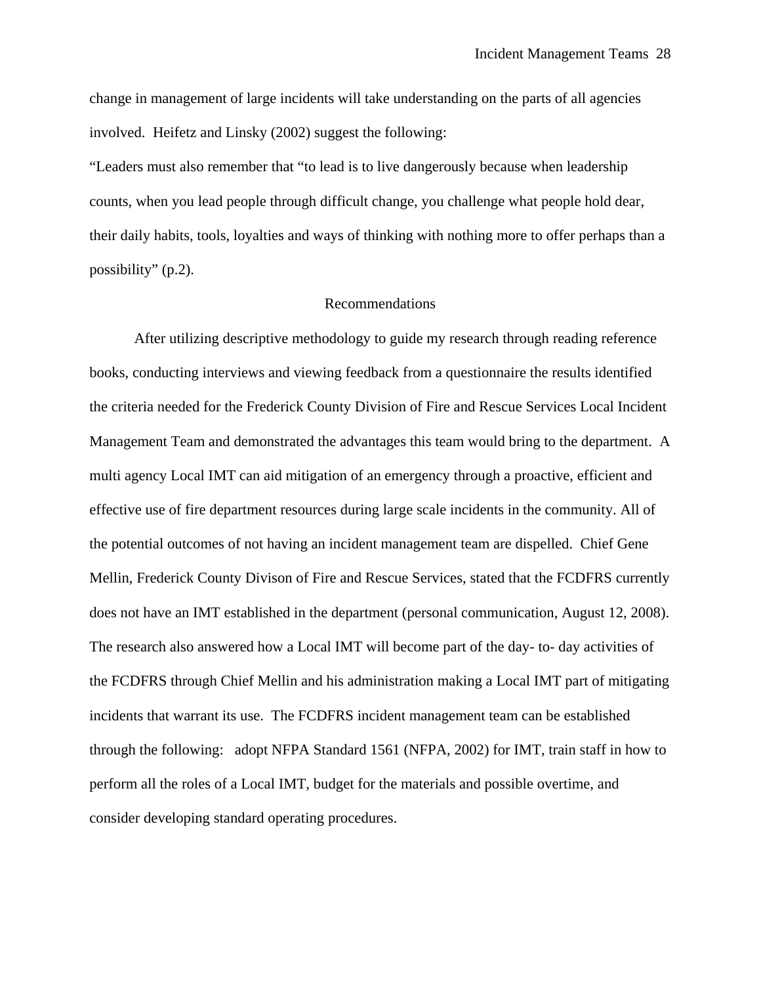change in management of large incidents will take understanding on the parts of all agencies involved. Heifetz and Linsky (2002) suggest the following:

"Leaders must also remember that "to lead is to live dangerously because when leadership counts, when you lead people through difficult change, you challenge what people hold dear, their daily habits, tools, loyalties and ways of thinking with nothing more to offer perhaps than a possibility" (p.2).

#### Recommendations

 After utilizing descriptive methodology to guide my research through reading reference books, conducting interviews and viewing feedback from a questionnaire the results identified the criteria needed for the Frederick County Division of Fire and Rescue Services Local Incident Management Team and demonstrated the advantages this team would bring to the department. A multi agency Local IMT can aid mitigation of an emergency through a proactive, efficient and effective use of fire department resources during large scale incidents in the community. All of the potential outcomes of not having an incident management team are dispelled. Chief Gene Mellin, Frederick County Divison of Fire and Rescue Services, stated that the FCDFRS currently does not have an IMT established in the department (personal communication, August 12, 2008). The research also answered how a Local IMT will become part of the day- to- day activities of the FCDFRS through Chief Mellin and his administration making a Local IMT part of mitigating incidents that warrant its use. The FCDFRS incident management team can be established through the following: adopt NFPA Standard 1561 (NFPA, 2002) for IMT, train staff in how to perform all the roles of a Local IMT, budget for the materials and possible overtime, and consider developing standard operating procedures.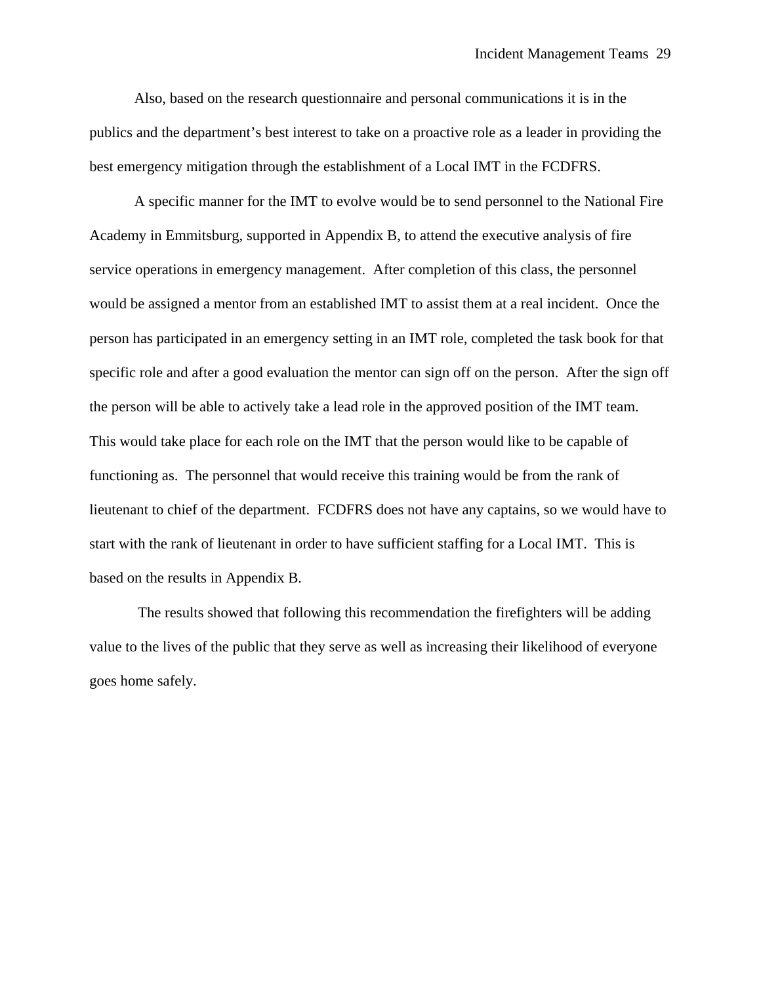Also, based on the research questionnaire and personal communications it is in the publics and the department's best interest to take on a proactive role as a leader in providing the best emergency mitigation through the establishment of a Local IMT in the FCDFRS.

 A specific manner for the IMT to evolve would be to send personnel to the National Fire Academy in Emmitsburg, supported in Appendix B, to attend the executive analysis of fire service operations in emergency management. After completion of this class, the personnel would be assigned a mentor from an established IMT to assist them at a real incident. Once the person has participated in an emergency setting in an IMT role, completed the task book for that specific role and after a good evaluation the mentor can sign off on the person. After the sign off the person will be able to actively take a lead role in the approved position of the IMT team. This would take place for each role on the IMT that the person would like to be capable of functioning as. The personnel that would receive this training would be from the rank of lieutenant to chief of the department. FCDFRS does not have any captains, so we would have to start with the rank of lieutenant in order to have sufficient staffing for a Local IMT. This is based on the results in Appendix B.

 The results showed that following this recommendation the firefighters will be adding value to the lives of the public that they serve as well as increasing their likelihood of everyone goes home safely.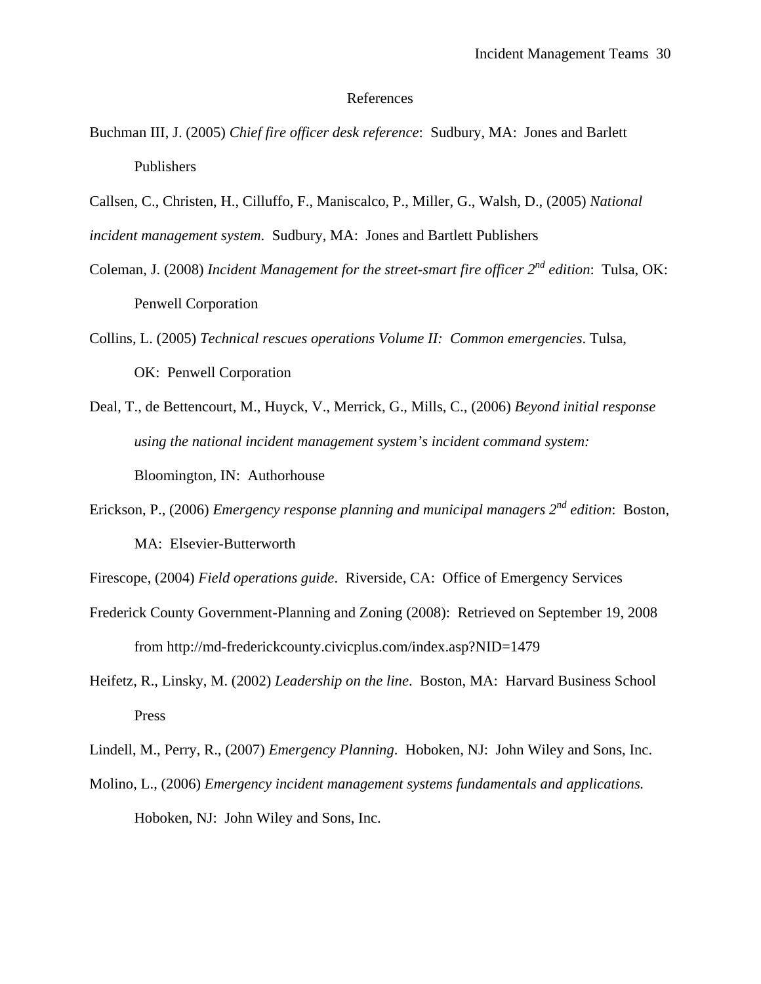#### References

- Buchman III, J. (2005) *Chief fire officer desk reference*: Sudbury, MA: Jones and Barlett Publishers
- Callsen, C., Christen, H., Cilluffo, F., Maniscalco, P., Miller, G., Walsh, D., (2005) *National*

*incident management system*. Sudbury, MA: Jones and Bartlett Publishers

- Coleman, J. (2008) *Incident Management for the street-smart fire officer 2nd edition*: Tulsa, OK: Penwell Corporation
- Collins, L. (2005) *Technical rescues operations Volume II: Common emergencies*. Tulsa, OK: Penwell Corporation
- Deal, T., de Bettencourt, M., Huyck, V., Merrick, G., Mills, C., (2006) *Beyond initial response using the national incident management system's incident command system:*  Bloomington, IN: Authorhouse
- Erickson, P., (2006) *Emergency response planning and municipal managers 2nd edition*: Boston, MA: Elsevier-Butterworth
- Firescope, (2004) *Field operations guide*. Riverside, CA: Office of Emergency Services
- Frederick County Government-Planning and Zoning (2008): Retrieved on September 19, 2008 from http://md-frederickcounty.civicplus.com/index.asp?NID=1479
- Heifetz, R., Linsky, M. (2002) *Leadership on the line*. Boston, MA: Harvard Business School Press
- Lindell, M., Perry, R., (2007) *Emergency Planning*. Hoboken, NJ: John Wiley and Sons, Inc.
- Molino, L., (2006) *Emergency incident management systems fundamentals and applications.* Hoboken, NJ: John Wiley and Sons, Inc.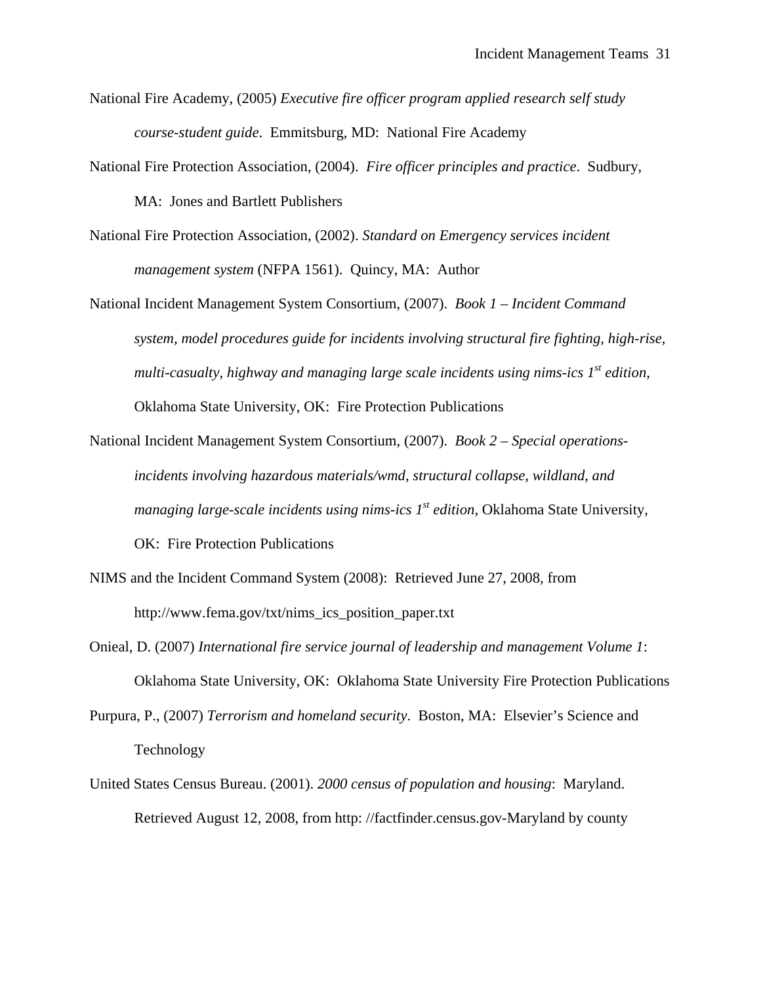- National Fire Academy, (2005) *Executive fire officer program applied research self study course-student guide*. Emmitsburg, MD: National Fire Academy
- National Fire Protection Association, (2004). *Fire officer principles and practice*. Sudbury, MA: Jones and Bartlett Publishers
- National Fire Protection Association, (2002). *Standard on Emergency services incident management system* (NFPA 1561). Quincy, MA: Author
- National Incident Management System Consortium, (2007). *Book 1 Incident Command system, model procedures guide for incidents involving structural fire fighting, high-rise, multi-casualty, highway and managing large scale incidents using nims-ics 1st edition,*  Oklahoma State University, OK: Fire Protection Publications
- National Incident Management System Consortium, (2007). *Book 2 Special operations incidents involving hazardous materials/wmd, structural collapse, wildland, and managing large-scale incidents using nims-ics 1<sup>st</sup> edition, Oklahoma State University,* OK: Fire Protection Publications
- NIMS and the Incident Command System (2008): Retrieved June 27, 2008, from http://www.fema.gov/txt/nims\_ics\_position\_paper.txt
- Onieal, D. (2007) *International fire service journal of leadership and management Volume 1*: Oklahoma State University, OK: Oklahoma State University Fire Protection Publications
- Purpura, P., (2007) *Terrorism and homeland security*. Boston, MA: Elsevier's Science and Technology
- United States Census Bureau. (2001). *2000 census of population and housing*: Maryland. Retrieved August 12, 2008, from http: //factfinder.census.gov-Maryland by county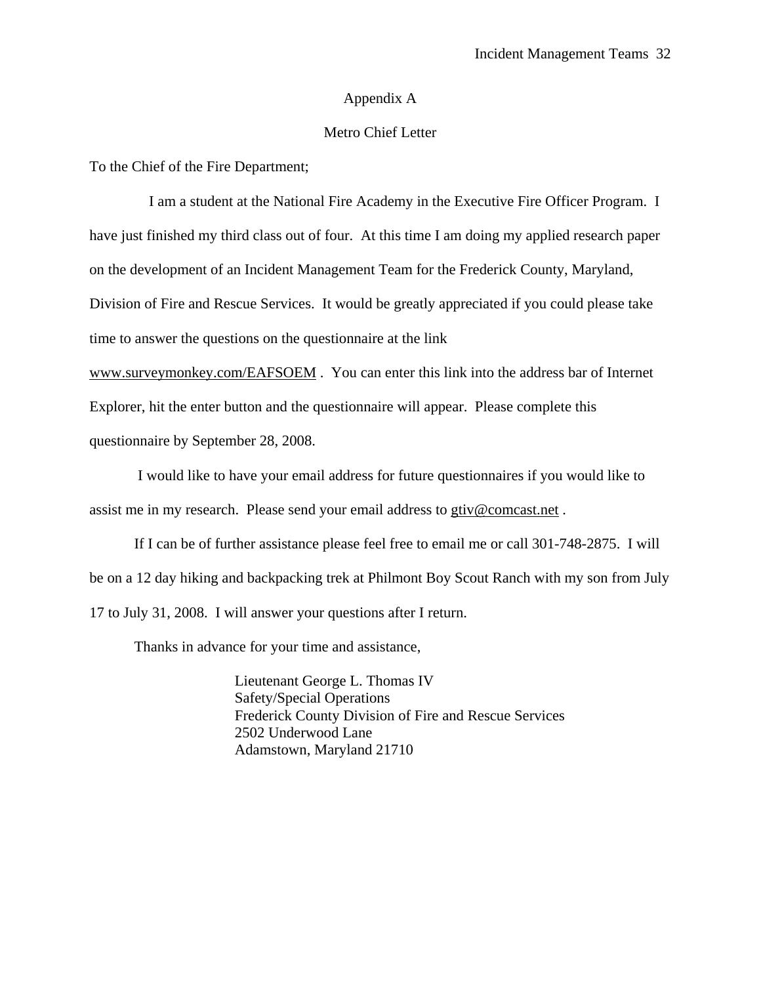#### Appendix A

#### Metro Chief Letter

To the Chief of the Fire Department;

 I am a student at the National Fire Academy in the Executive Fire Officer Program. I have just finished my third class out of four. At this time I am doing my applied research paper on the development of an Incident Management Team for the Frederick County, Maryland, Division of Fire and Rescue Services. It would be greatly appreciated if you could please take time to answer the questions on the questionnaire at the link

[www.surveymonkey.com/EAFSOEM](http://www.surveymonkey.com/EAFSOEM) . You can enter this link into the address bar of Internet Explorer, hit the enter button and the questionnaire will appear. Please complete this questionnaire by September 28, 2008.

 I would like to have your email address for future questionnaires if you would like to assist me in my research. Please send your email address to gtiv@comcast.net .

If I can be of further assistance please feel free to email me or call 301-748-2875. I will be on a 12 day hiking and backpacking trek at Philmont Boy Scout Ranch with my son from July 17 to July 31, 2008. I will answer your questions after I return.

Thanks in advance for your time and assistance,

 Lieutenant George L. Thomas IV Safety/Special Operations Frederick County Division of Fire and Rescue Services 2502 Underwood Lane Adamstown, Maryland 21710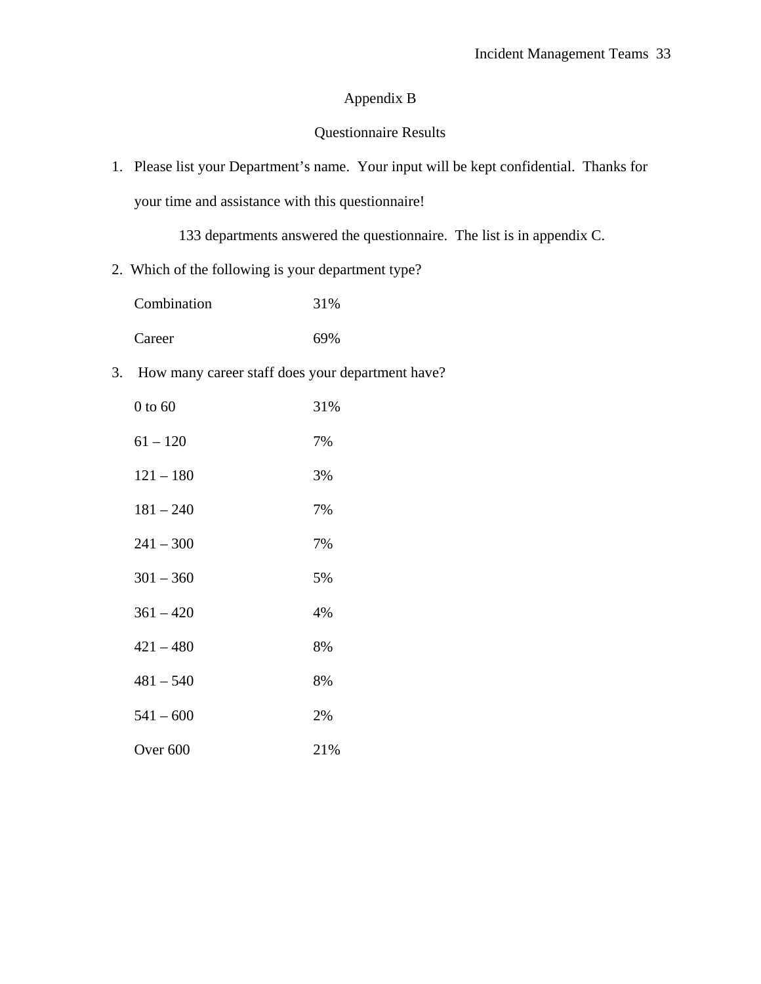## Appendix B

### Questionnaire Results

1. Please list your Department's name. Your input will be kept confidential. Thanks for your time and assistance with this questionnaire!

133 departments answered the questionnaire. The list is in appendix C.

2. Which of the following is your department type?

| Combination | 31% |
|-------------|-----|
| Career      | 69% |

3. How many career staff does your department have?

| $0$ to $60$         | 31% |
|---------------------|-----|
| $61 - 120$          | 7%  |
| $121 - 180$         | 3%  |
| $181 - 240$         | 7%  |
| $241 - 300$         | 7%  |
| $301 - 360$         | 5%  |
| $361 - 420$         | 4%  |
| $421 - 480$         | 8%  |
| $481 - 540$         | 8%  |
| $541 - 600$         | 2%  |
| Over <sub>600</sub> | 21% |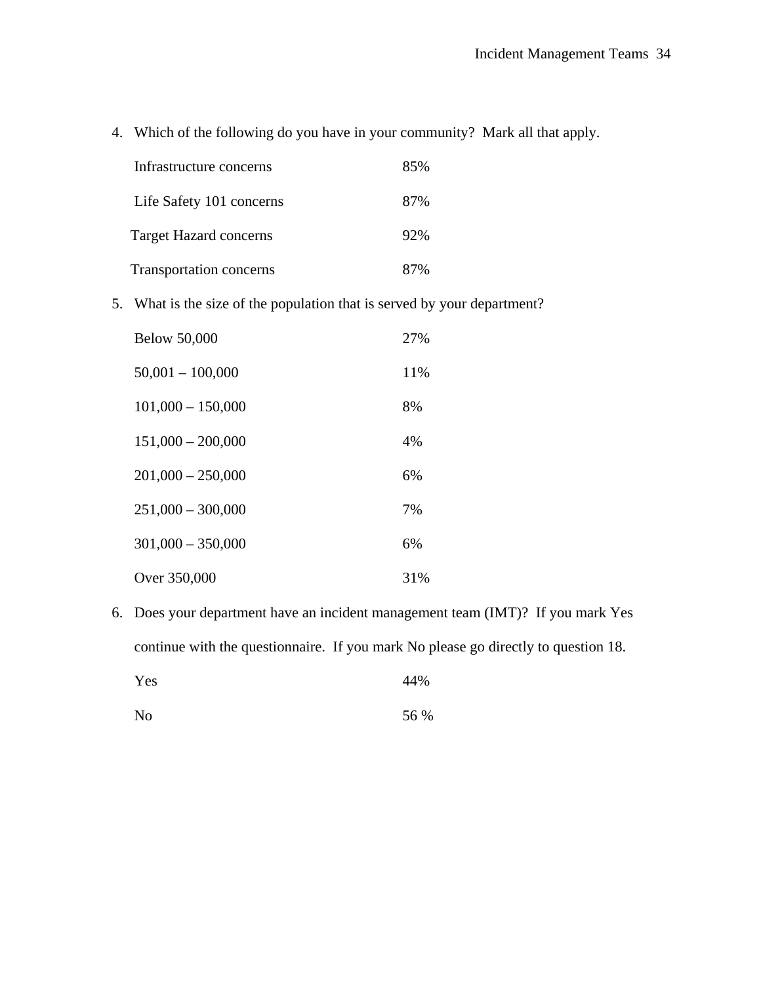4. Which of the following do you have in your community? Mark all that apply.

| Infrastructure concerns       | 85% |
|-------------------------------|-----|
| Life Safety 101 concerns      | 87% |
| <b>Target Hazard concerns</b> | 92% |
| Transportation concerns       | 87% |

5. What is the size of the population that is served by your department?

| <b>Below 50,000</b> | 27% |
|---------------------|-----|
| $50,001 - 100,000$  | 11% |
| $101,000 - 150,000$ | 8%  |
| $151,000 - 200,000$ | 4%  |
| $201,000 - 250,000$ | 6%  |
| $251,000 - 300,000$ | 7%  |
| $301,000 - 350,000$ | 6%  |
| Over 350,000        | 31% |

6. Does your department have an incident management team (IMT)? If you mark Yes continue with the questionnaire. If you mark No please go directly to question 18.

| Yes | 44% |  |
|-----|-----|--|
|     |     |  |

| N <sub>o</sub> | 56 % |
|----------------|------|
|----------------|------|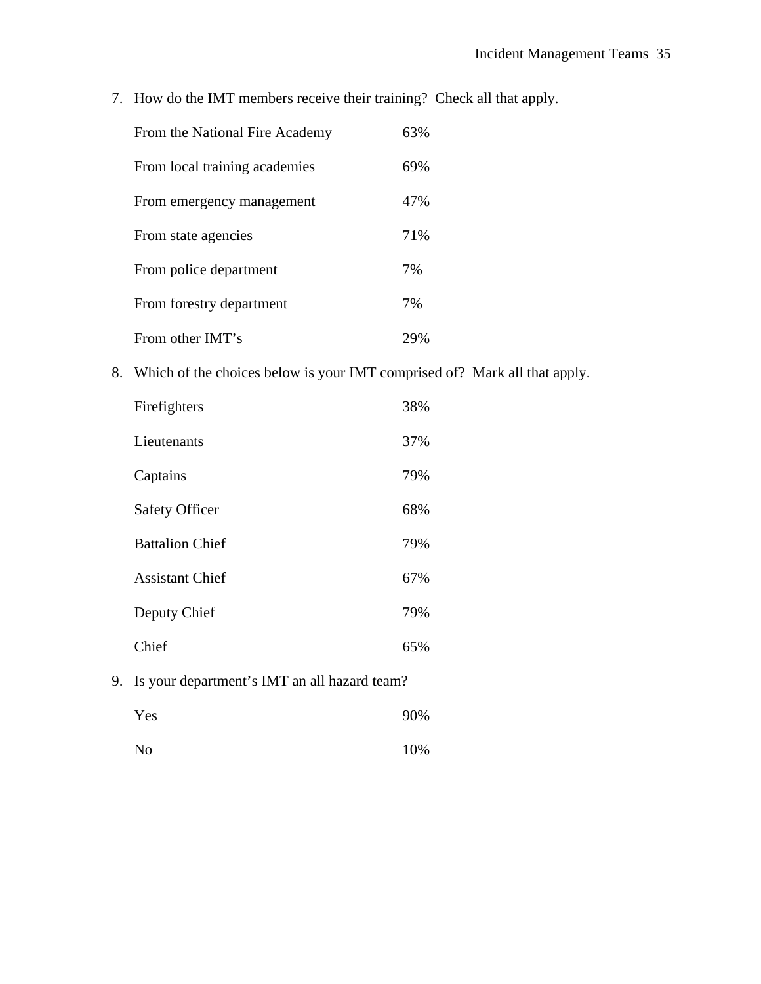7. How do the IMT members receive their training? Check all that apply.

| From the National Fire Academy | 63% |
|--------------------------------|-----|
| From local training academies  | 69% |
| From emergency management      | 47% |
| From state agencies            | 71% |
| From police department         | 7%  |
| From forestry department       | 7%  |
| From other IMT's               |     |

8. Which of the choices below is your IMT comprised of? Mark all that apply.

| Firefighters           | 38% |
|------------------------|-----|
| Lieutenants            | 37% |
| Captains               | 79% |
| <b>Safety Officer</b>  | 68% |
| <b>Battalion Chief</b> | 79% |
| <b>Assistant Chief</b> | 67% |
| Deputy Chief           | 79% |
| Chief                  | 65% |
|                        |     |

9. Is your department's IMT an all hazard team?

| Yes            | 90% |
|----------------|-----|
| N <sub>o</sub> | 10% |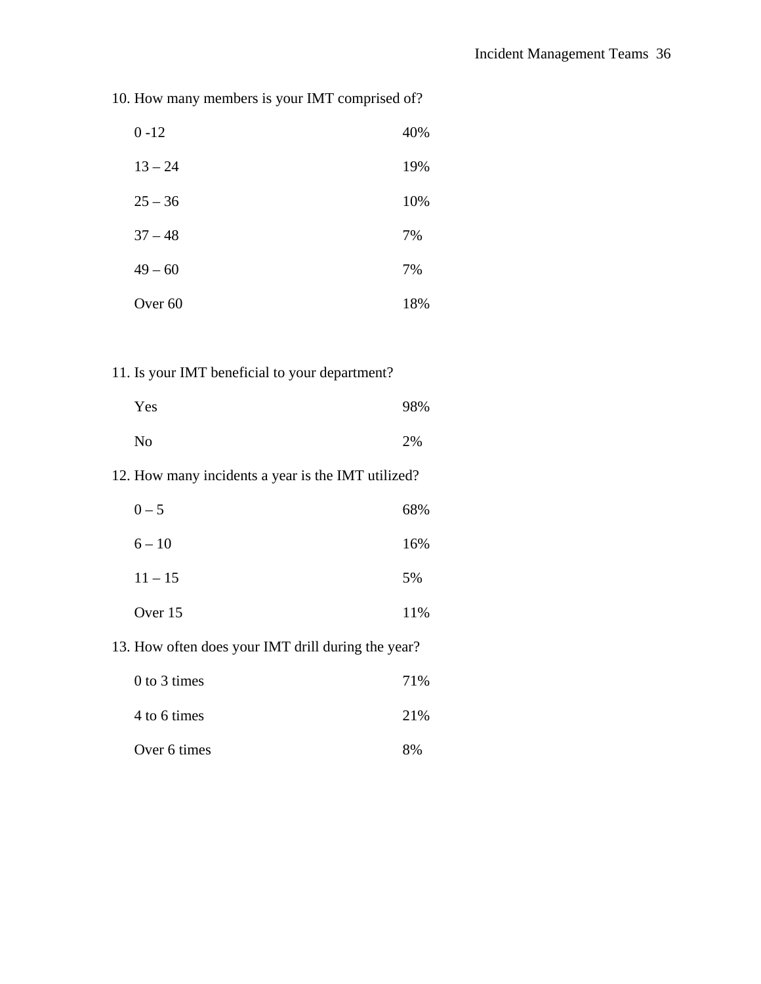10. How many members is your IMT comprised of?

| $0 - 12$           | 40% |
|--------------------|-----|
| $13 - 24$          | 19% |
| $25 - 36$          | 10% |
| $37 - 48$          | 7%  |
| $49 - 60$          | 7%  |
| Over <sub>60</sub> | 18% |

## 11. Is your IMT beneficial to your department?

| Yes            | 98% |
|----------------|-----|
| N <sub>0</sub> | 2%  |

## 12. How many incidents a year is the IMT utilized?

| $0 - 5$   | 68% |
|-----------|-----|
| $6 - 10$  | 16% |
| $11 - 15$ | 5%  |
| Over 15   | 11% |

### 13. How often does your IMT drill during the year?

| $0$ to 3 times | 71%  |
|----------------|------|
| 4 to 6 times   | 21\% |
| Over 6 times   | 8%   |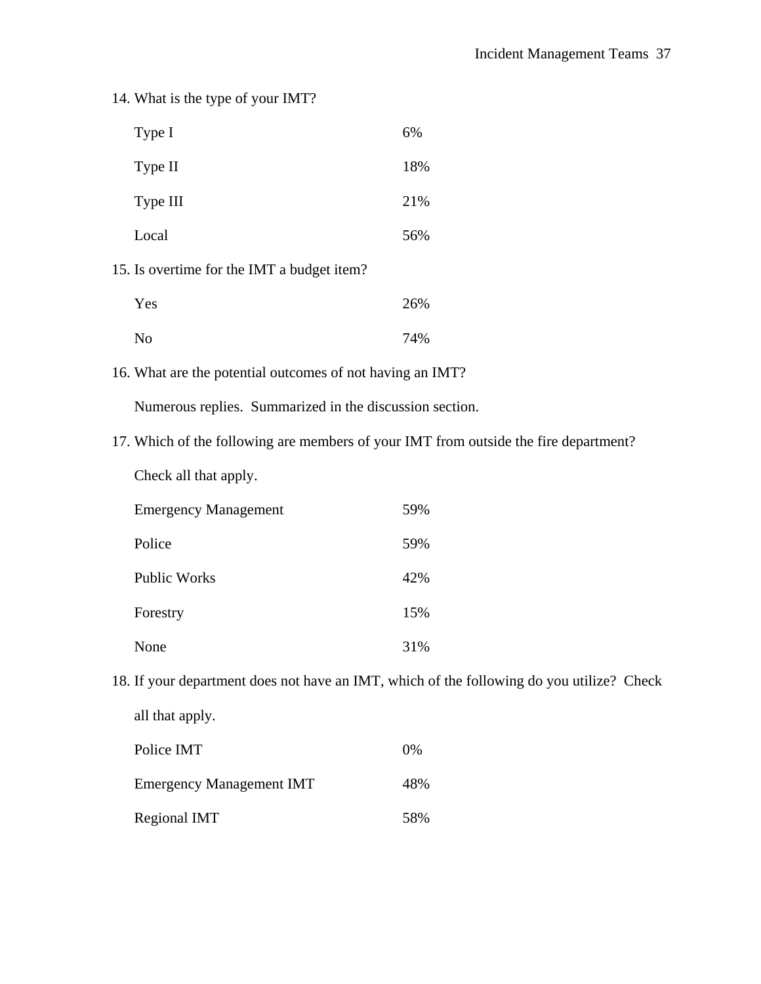|                                                                                      | 14. What is the type of your IMT?                       |     |  |  |
|--------------------------------------------------------------------------------------|---------------------------------------------------------|-----|--|--|
|                                                                                      | Type I                                                  | 6%  |  |  |
|                                                                                      | Type II                                                 | 18% |  |  |
|                                                                                      | Type III                                                | 21% |  |  |
|                                                                                      | Local                                                   | 56% |  |  |
| 15. Is overtime for the IMT a budget item?                                           |                                                         |     |  |  |
|                                                                                      | Yes                                                     | 26% |  |  |
|                                                                                      | No                                                      | 74% |  |  |
| 16. What are the potential outcomes of not having an IMT?                            |                                                         |     |  |  |
|                                                                                      | Numerous replies. Summarized in the discussion section. |     |  |  |
| 17. Which of the following are members of your IMT from outside the fire department? |                                                         |     |  |  |
|                                                                                      | Check all that apply.                                   |     |  |  |
|                                                                                      | <b>Emergency Management</b>                             | 59% |  |  |
|                                                                                      | Police                                                  | 59% |  |  |
|                                                                                      | <b>Public Works</b>                                     | 42% |  |  |
|                                                                                      | Forestry                                                | 15% |  |  |
|                                                                                      | None                                                    | 31% |  |  |

18. If your department does not have an IMT, which of the following do you utilize? Check all that apply.

| Police IMT                      | $0\%$ |
|---------------------------------|-------|
| <b>Emergency Management IMT</b> | 48%   |
| Regional IMT                    | 58%   |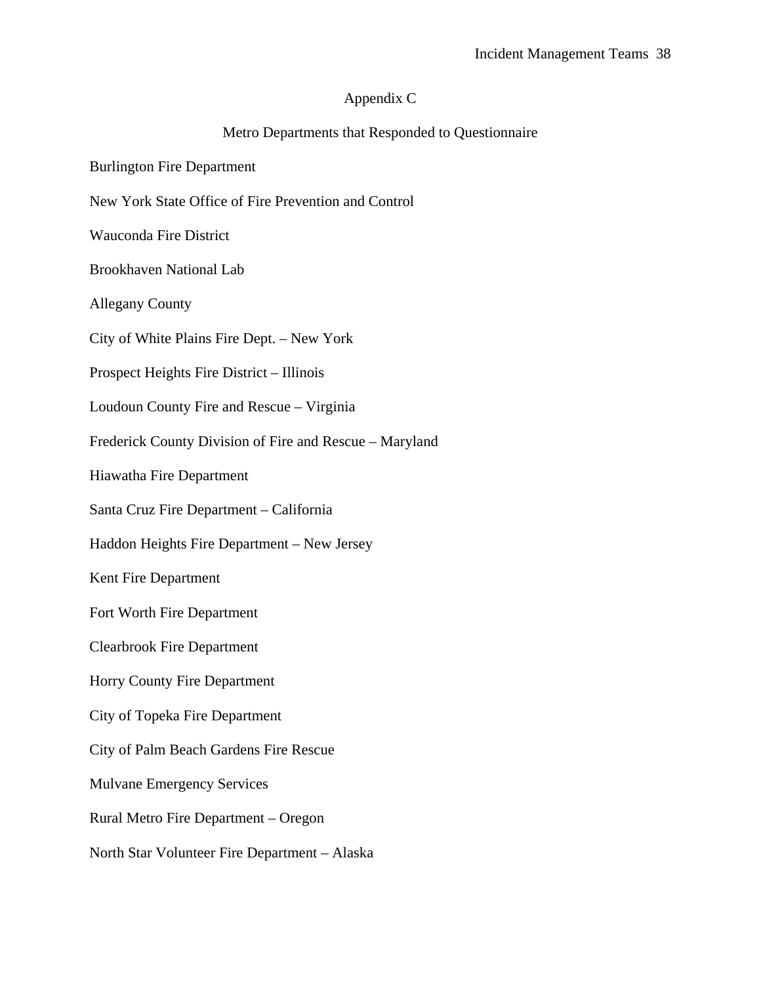### Appendix C

### Metro Departments that Responded to Questionnaire

- Burlington Fire Department
- New York State Office of Fire Prevention and Control
- Wauconda Fire District
- Brookhaven National Lab
- Allegany County
- City of White Plains Fire Dept. New York
- Prospect Heights Fire District Illinois
- Loudoun County Fire and Rescue Virginia
- Frederick County Division of Fire and Rescue Maryland
- Hiawatha Fire Department
- Santa Cruz Fire Department California
- Haddon Heights Fire Department New Jersey
- Kent Fire Department
- Fort Worth Fire Department
- Clearbrook Fire Department
- Horry County Fire Department
- City of Topeka Fire Department
- City of Palm Beach Gardens Fire Rescue
- Mulvane Emergency Services
- Rural Metro Fire Department Oregon
- North Star Volunteer Fire Department Alaska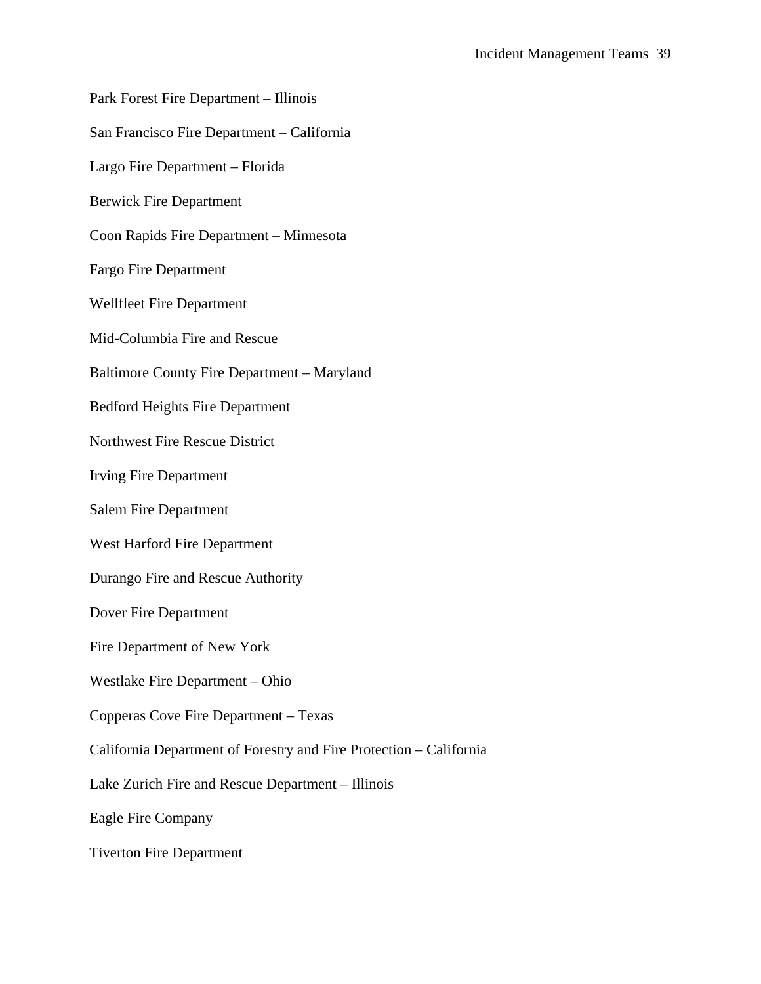- Park Forest Fire Department Illinois
- San Francisco Fire Department California
- Largo Fire Department Florida
- Berwick Fire Department
- Coon Rapids Fire Department Minnesota
- Fargo Fire Department
- Wellfleet Fire Department
- Mid-Columbia Fire and Rescue
- Baltimore County Fire Department Maryland
- Bedford Heights Fire Department
- Northwest Fire Rescue District
- Irving Fire Department
- Salem Fire Department
- West Harford Fire Department
- Durango Fire and Rescue Authority
- Dover Fire Department
- Fire Department of New York
- Westlake Fire Department Ohio
- Copperas Cove Fire Department Texas
- California Department of Forestry and Fire Protection California
- Lake Zurich Fire and Rescue Department Illinois
- Eagle Fire Company
- Tiverton Fire Department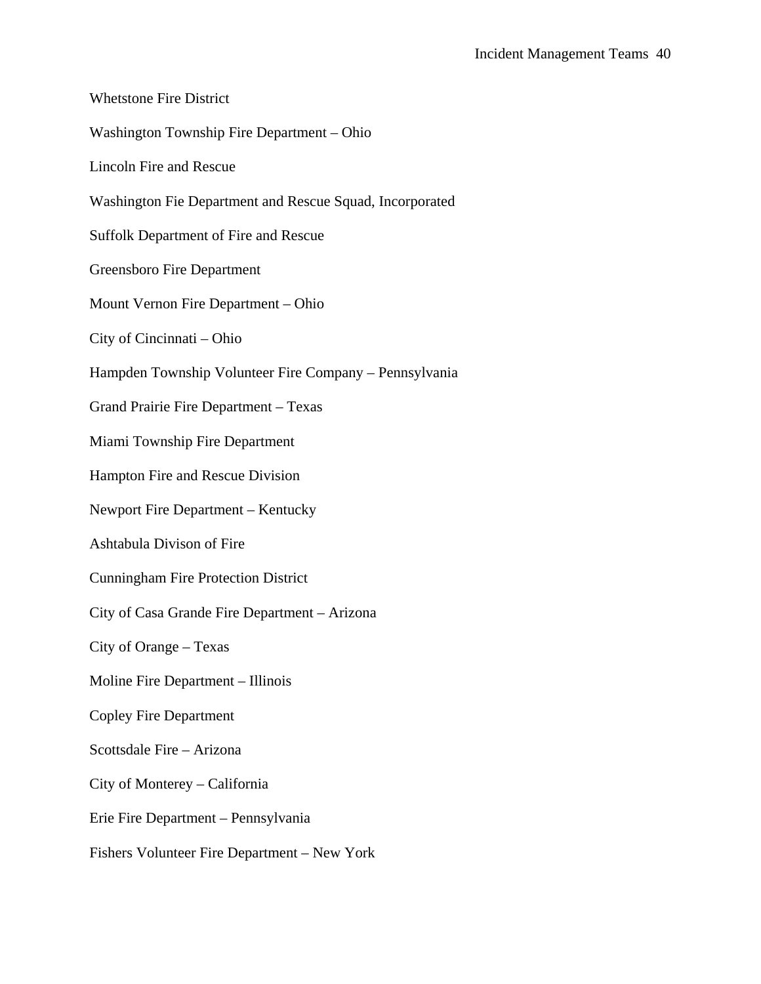Whetstone Fire District Washington Township Fire Department – Ohio Lincoln Fire and Rescue Washington Fie Department and Rescue Squad, Incorporated Suffolk Department of Fire and Rescue Greensboro Fire Department Mount Vernon Fire Department – Ohio City of Cincinnati – Ohio Hampden Township Volunteer Fire Company – Pennsylvania Grand Prairie Fire Department – Texas Miami Township Fire Department Hampton Fire and Rescue Division Newport Fire Department – Kentucky Ashtabula Divison of Fire Cunningham Fire Protection District City of Casa Grande Fire Department – Arizona City of Orange – Texas Moline Fire Department – Illinois Copley Fire Department Scottsdale Fire – Arizona City of Monterey – California Erie Fire Department – Pennsylvania Fishers Volunteer Fire Department – New York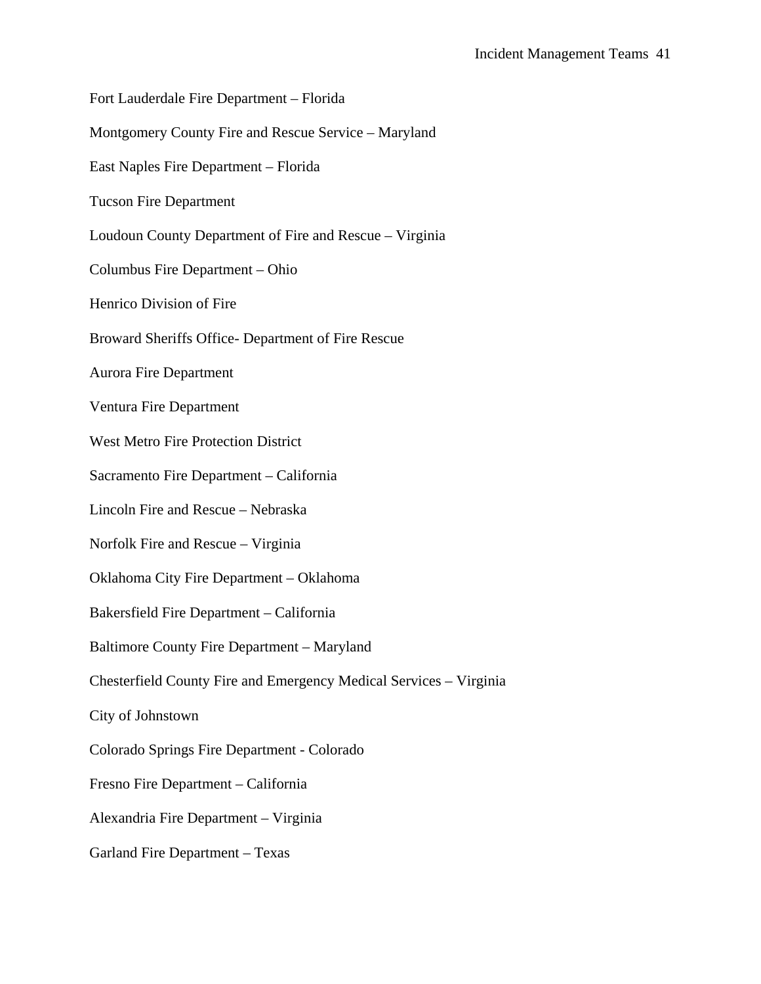Fort Lauderdale Fire Department – Florida Montgomery County Fire and Rescue Service – Maryland East Naples Fire Department – Florida Tucson Fire Department Loudoun County Department of Fire and Rescue – Virginia Columbus Fire Department – Ohio Henrico Division of Fire Broward Sheriffs Office- Department of Fire Rescue Aurora Fire Department Ventura Fire Department West Metro Fire Protection District Sacramento Fire Department – California Lincoln Fire and Rescue – Nebraska Norfolk Fire and Rescue – Virginia Oklahoma City Fire Department – Oklahoma Bakersfield Fire Department – California Baltimore County Fire Department – Maryland Chesterfield County Fire and Emergency Medical Services – Virginia City of Johnstown Colorado Springs Fire Department - Colorado Fresno Fire Department – California Alexandria Fire Department – Virginia Garland Fire Department – Texas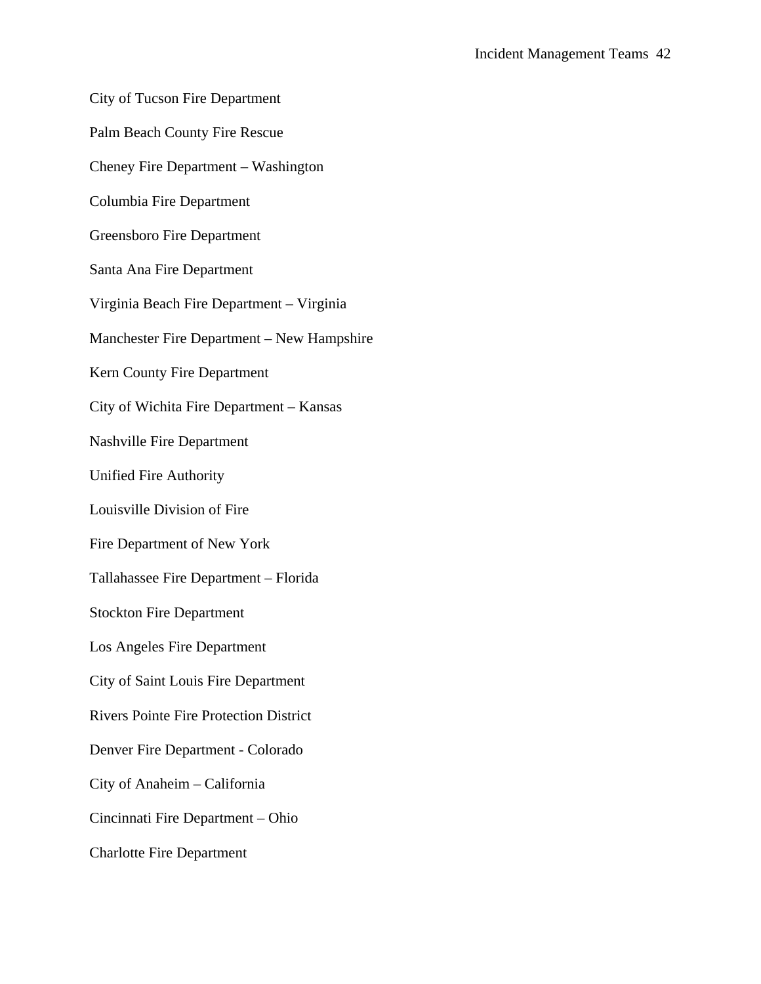City of Tucson Fire Department

Palm Beach County Fire Rescue

Cheney Fire Department – Washington

Columbia Fire Department

Greensboro Fire Department

Santa Ana Fire Department

Virginia Beach Fire Department – Virginia

Manchester Fire Department – New Hampshire

Kern County Fire Department

City of Wichita Fire Department – Kansas

Nashville Fire Department

Unified Fire Authority

Louisville Division of Fire

Fire Department of New York

Tallahassee Fire Department – Florida

Stockton Fire Department

Los Angeles Fire Department

City of Saint Louis Fire Department

Rivers Pointe Fire Protection District

Denver Fire Department - Colorado

City of Anaheim – California

Cincinnati Fire Department – Ohio

Charlotte Fire Department